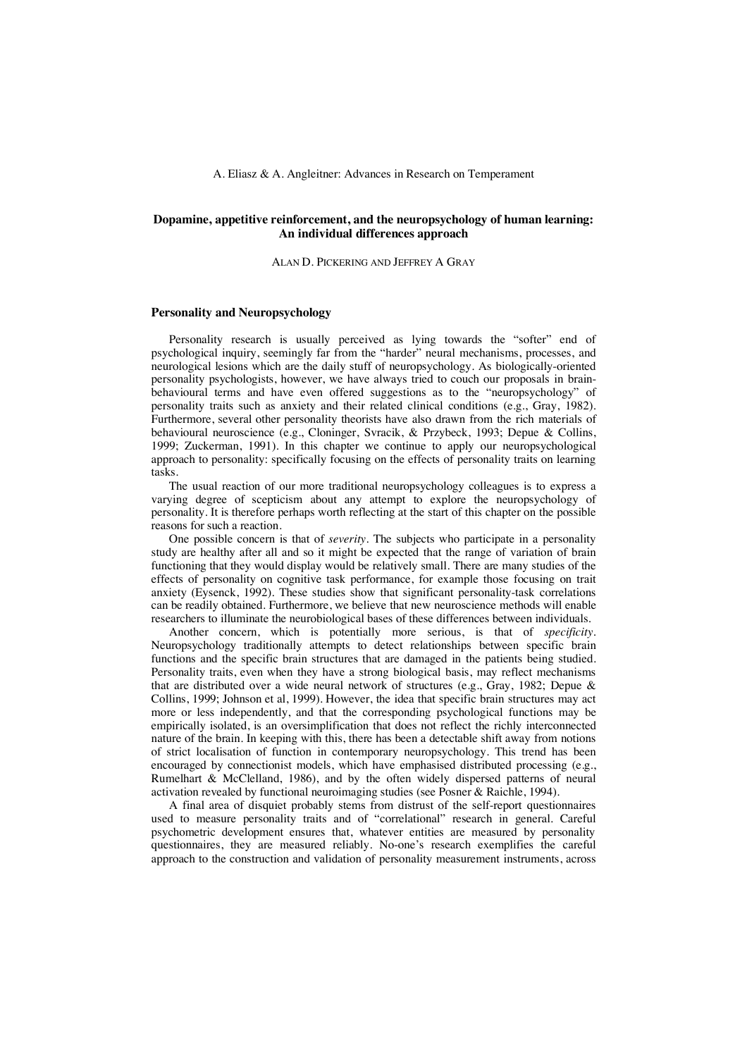# **Dopamine, appetitive reinforcement, and the neuropsychology of human learning: An individual differences approach**

### ALAN D. PICKERING AND JEFFREY A GRAY

### **Personality and Neuropsychology**

Personality research is usually perceived as lying towards the "softer" end of psychological inquiry, seemingly far from the "harder" neural mechanisms, processes, and neurological lesions which are the daily stuff of neuropsychology. As biologically-oriented personality psychologists, however, we have always tried to couch our proposals in brainbehavioural terms and have even offered suggestions as to the "neuropsychology" of personality traits such as anxiety and their related clinical conditions (e.g., Gray, 1982). Furthermore, several other personality theorists have also drawn from the rich materials of behavioural neuroscience (e.g., Cloninger, Svracik, & Przybeck, 1993; Depue & Collins, 1999; Zuckerman, 1991). In this chapter we continue to apply our neuropsychological approach to personality: specifically focusing on the effects of personality traits on learning tasks.

The usual reaction of our more traditional neuropsychology colleagues is to express a varying degree of scepticism about any attempt to explore the neuropsychology of personality. It is therefore perhaps worth reflecting at the start of this chapter on the possible reasons for such a reaction.

One possible concern is that of *severity*. The subjects who participate in a personality study are healthy after all and so it might be expected that the range of variation of brain functioning that they would display would be relatively small. There are many studies of the effects of personality on cognitive task performance, for example those focusing on trait anxiety (Eysenck, 1992). These studies show that significant personality-task correlations can be readily obtained. Furthermore, we believe that new neuroscience methods will enable researchers to illuminate the neurobiological bases of these differences between individuals.

Another concern, which is potentially more serious, is that of *specificity*. Neuropsychology traditionally attempts to detect relationships between specific brain functions and the specific brain structures that are damaged in the patients being studied. Personality traits, even when they have a strong biological basis, may reflect mechanisms that are distributed over a wide neural network of structures (e.g., Gray, 1982; Depue & Collins, 1999; Johnson et al, 1999). However, the idea that specific brain structures may act more or less independently, and that the corresponding psychological functions may be empirically isolated, is an oversimplification that does not reflect the richly interconnected nature of the brain. In keeping with this, there has been a detectable shift away from notions of strict localisation of function in contemporary neuropsychology. This trend has been encouraged by connectionist models, which have emphasised distributed processing (e.g., Rumelhart & McClelland, 1986), and by the often widely dispersed patterns of neural activation revealed by functional neuroimaging studies (see Posner & Raichle, 1994).

A final area of disquiet probably stems from distrust of the self-report questionnaires used to measure personality traits and of "correlational" research in general. Careful psychometric development ensures that, whatever entities are measured by personality questionnaires, they are measured reliably. No-one's research exemplifies the careful approach to the construction and validation of personality measurement instruments, across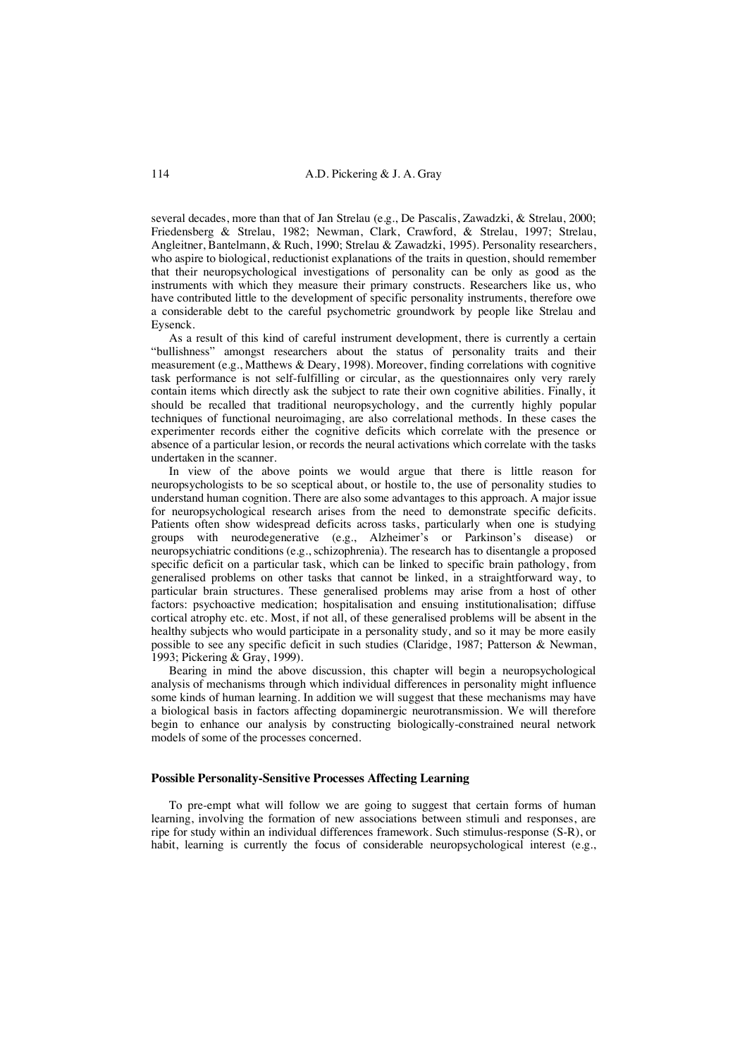several decades, more than that of Jan Strelau (e.g., De Pascalis, Zawadzki, & Strelau, 2000; Friedensberg & Strelau, 1982; Newman, Clark, Crawford, & Strelau, 1997; Strelau, Angleitner, Bantelmann, & Ruch, 1990; Strelau & Zawadzki, 1995). Personality researchers, who aspire to biological, reductionist explanations of the traits in question, should remember that their neuropsychological investigations of personality can be only as good as the instruments with which they measure their primary constructs. Researchers like us, who have contributed little to the development of specific personality instruments, therefore owe a considerable debt to the careful psychometric groundwork by people like Strelau and Eysenck.

As a result of this kind of careful instrument development, there is currently a certain "bullishness" amongst researchers about the status of personality traits and their measurement (e.g., Matthews & Deary, 1998). Moreover, finding correlations with cognitive task performance is not self-fulfilling or circular, as the questionnaires only very rarely contain items which directly ask the subject to rate their own cognitive abilities. Finally, it should be recalled that traditional neuropsychology, and the currently highly popular techniques of functional neuroimaging, are also correlational methods. In these cases the experimenter records either the cognitive deficits which correlate with the presence or absence of a particular lesion, or records the neural activations which correlate with the tasks undertaken in the scanner.

In view of the above points we would argue that there is little reason for neuropsychologists to be so sceptical about, or hostile to, the use of personality studies to understand human cognition. There are also some advantages to this approach. A major issue for neuropsychological research arises from the need to demonstrate specific deficits. Patients often show widespread deficits across tasks, particularly when one is studying groups with neurodegenerative (e.g., Alzheimer's or Parkinson's disease) or neuropsychiatric conditions (e.g., schizophrenia). The research has to disentangle a proposed specific deficit on a particular task, which can be linked to specific brain pathology, from generalised problems on other tasks that cannot be linked, in a straightforward way, to particular brain structures. These generalised problems may arise from a host of other factors: psychoactive medication; hospitalisation and ensuing institutionalisation; diffuse cortical atrophy etc. etc. Most, if not all, of these generalised problems will be absent in the healthy subjects who would participate in a personality study, and so it may be more easily possible to see any specific deficit in such studies (Claridge, 1987; Patterson & Newman, 1993; Pickering & Gray, 1999).

Bearing in mind the above discussion, this chapter will begin a neuropsychological analysis of mechanisms through which individual differences in personality might influence some kinds of human learning. In addition we will suggest that these mechanisms may have a biological basis in factors affecting dopaminergic neurotransmission. We will therefore begin to enhance our analysis by constructing biologically-constrained neural network models of some of the processes concerned.

## **Possible Personality-Sensitive Processes Affecting Learning**

To pre-empt what will follow we are going to suggest that certain forms of human learning, involving the formation of new associations between stimuli and responses, are ripe for study within an individual differences framework. Such stimulus-response (S-R), or habit, learning is currently the focus of considerable neuropsychological interest (e.g.,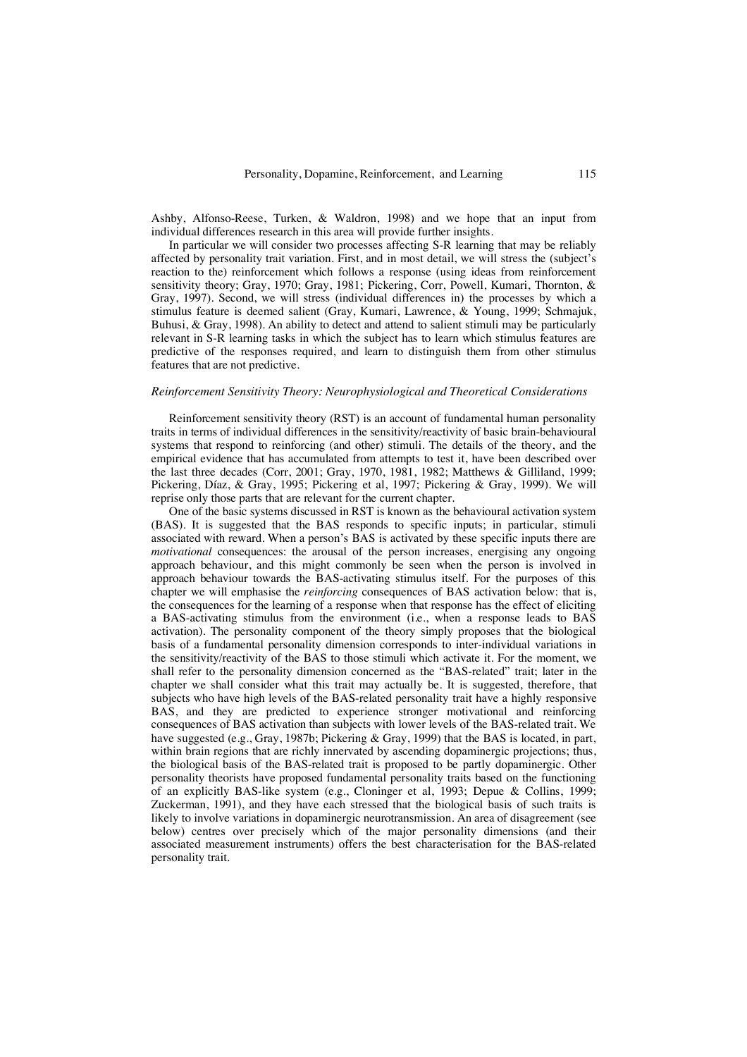Ashby, Alfonso-Reese, Turken, & Waldron, 1998) and we hope that an input from individual differences research in this area will provide further insights.

In particular we will consider two processes affecting S-R learning that may be reliably affected by personality trait variation. First, and in most detail, we will stress the (subject's reaction to the) reinforcement which follows a response (using ideas from reinforcement sensitivity theory; Gray, 1970; Gray, 1981; Pickering, Corr, Powell, Kumari, Thornton, & Gray, 1997). Second, we will stress (individual differences in) the processes by which a stimulus feature is deemed salient (Gray, Kumari, Lawrence, & Young, 1999; Schmajuk, Buhusi, & Gray, 1998). An ability to detect and attend to salient stimuli may be particularly relevant in S-R learning tasks in which the subject has to learn which stimulus features are predictive of the responses required, and learn to distinguish them from other stimulus features that are not predictive.

# *Reinforcement Sensitivity Theory: Neurophysiological and Theoretical Considerations*

Reinforcement sensitivity theory (RST) is an account of fundamental human personality traits in terms of individual differences in the sensitivity/reactivity of basic brain-behavioural systems that respond to reinforcing (and other) stimuli. The details of the theory, and the empirical evidence that has accumulated from attempts to test it, have been described over the last three decades (Corr, 2001; Gray, 1970, 1981, 1982; Matthews & Gilliland, 1999; Pickering, Díaz, & Gray, 1995; Pickering et al, 1997; Pickering & Gray, 1999). We will reprise only those parts that are relevant for the current chapter.

One of the basic systems discussed in RST is known as the behavioural activation system (BAS). It is suggested that the BAS responds to specific inputs; in particular, stimuli associated with reward. When a person's BAS is activated by these specific inputs there are *motivational* consequences: the arousal of the person increases, energising any ongoing approach behaviour, and this might commonly be seen when the person is involved in approach behaviour towards the BAS-activating stimulus itself. For the purposes of this chapter we will emphasise the *reinforcing* consequences of BAS activation below: that is, the consequences for the learning of a response when that response has the effect of eliciting a BAS-activating stimulus from the environment (i.e., when a response leads to BAS activation). The personality component of the theory simply proposes that the biological basis of a fundamental personality dimension corresponds to inter-individual variations in the sensitivity/reactivity of the BAS to those stimuli which activate it. For the moment, we shall refer to the personality dimension concerned as the "BAS-related" trait; later in the chapter we shall consider what this trait may actually be. It is suggested, therefore, that subjects who have high levels of the BAS-related personality trait have a highly responsive BAS, and they are predicted to experience stronger motivational and reinforcing consequences of BAS activation than subjects with lower levels of the BAS-related trait. We have suggested (e.g., Gray, 1987b; Pickering & Gray, 1999) that the BAS is located, in part, within brain regions that are richly innervated by ascending dopaminergic projections; thus, the biological basis of the BAS-related trait is proposed to be partly dopaminergic. Other personality theorists have proposed fundamental personality traits based on the functioning of an explicitly BAS-like system (e.g., Cloninger et al, 1993; Depue & Collins, 1999; Zuckerman, 1991), and they have each stressed that the biological basis of such traits is likely to involve variations in dopaminergic neurotransmission. An area of disagreement (see below) centres over precisely which of the major personality dimensions (and their associated measurement instruments) offers the best characterisation for the BAS-related personality trait.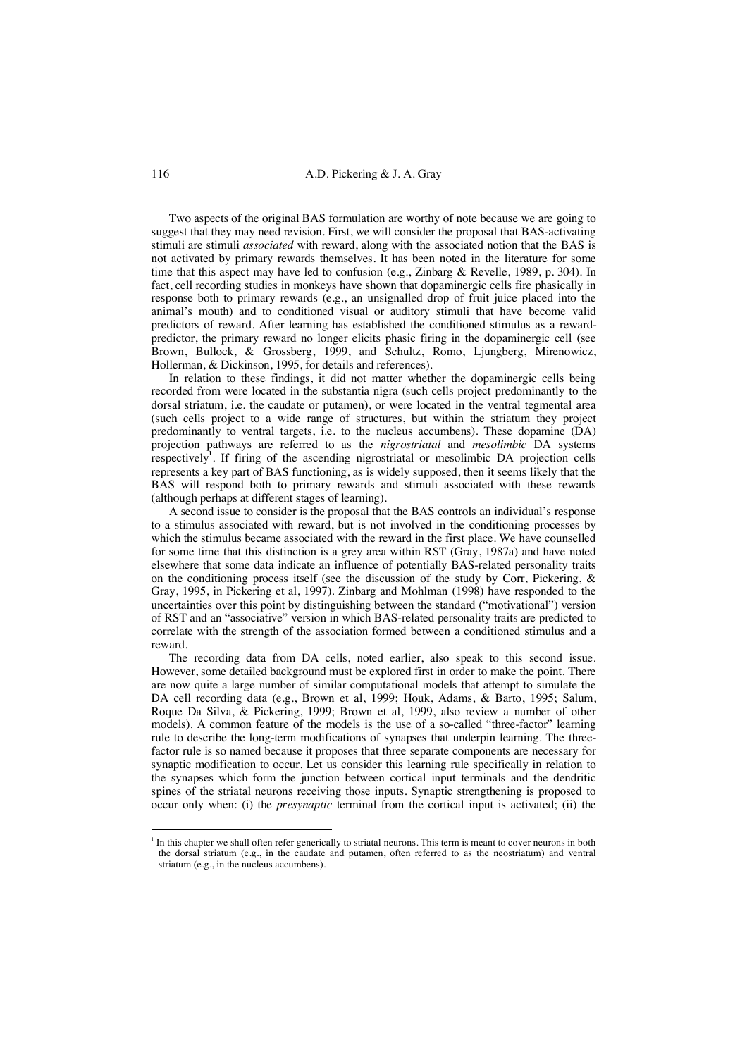Two aspects of the original BAS formulation are worthy of note because we are going to suggest that they may need revision. First, we will consider the proposal that BAS-activating stimuli are stimuli *associated* with reward, along with the associated notion that the BAS is not activated by primary rewards themselves. It has been noted in the literature for some time that this aspect may have led to confusion (e.g., Zinbarg & Revelle, 1989, p. 304). In fact, cell recording studies in monkeys have shown that dopaminergic cells fire phasically in response both to primary rewards (e.g., an unsignalled drop of fruit juice placed into the animal's mouth) and to conditioned visual or auditory stimuli that have become valid predictors of reward. After learning has established the conditioned stimulus as a rewardpredictor, the primary reward no longer elicits phasic firing in the dopaminergic cell (see Brown, Bullock, & Grossberg, 1999, and Schultz, Romo, Ljungberg, Mirenowicz, Hollerman, & Dickinson, 1995, for details and references).

In relation to these findings, it did not matter whether the dopaminergic cells being recorded from were located in the substantia nigra (such cells project predominantly to the dorsal striatum, i.e. the caudate or putamen), or were located in the ventral tegmental area (such cells project to a wide range of structures, but within the striatum they project predominantly to ventral targets, i.e. to the nucleus accumbens). These dopamine (DA) projection pathways are referred to as the *nigrostriatal* and *mesolimbic* DA systems respectively**<sup>1</sup>** . If firing of the ascending nigrostriatal or mesolimbic DA projection cells represents a key part of BAS functioning, as is widely supposed, then it seems likely that the BAS will respond both to primary rewards and stimuli associated with these rewards (although perhaps at different stages of learning).

A second issue to consider is the proposal that the BAS controls an individual's response to a stimulus associated with reward, but is not involved in the conditioning processes by which the stimulus became associated with the reward in the first place. We have counselled for some time that this distinction is a grey area within RST (Gray, 1987a) and have noted elsewhere that some data indicate an influence of potentially BAS-related personality traits on the conditioning process itself (see the discussion of the study by Corr, Pickering,  $\&$ Gray, 1995, in Pickering et al, 1997). Zinbarg and Mohlman (1998) have responded to the uncertainties over this point by distinguishing between the standard ("motivational") version of RST and an "associative" version in which BAS-related personality traits are predicted to correlate with the strength of the association formed between a conditioned stimulus and a reward.

The recording data from DA cells, noted earlier, also speak to this second issue. However, some detailed background must be explored first in order to make the point. There are now quite a large number of similar computational models that attempt to simulate the DA cell recording data (e.g., Brown et al, 1999; Houk, Adams, & Barto, 1995; Salum, Roque Da Silva, & Pickering, 1999; Brown et al, 1999, also review a number of other models). A common feature of the models is the use of a so-called "three-factor" learning rule to describe the long-term modifications of synapses that underpin learning. The threefactor rule is so named because it proposes that three separate components are necessary for synaptic modification to occur. Let us consider this learning rule specifically in relation to the synapses which form the junction between cortical input terminals and the dendritic spines of the striatal neurons receiving those inputs. Synaptic strengthening is proposed to occur only when: (i) the *presynaptic* terminal from the cortical input is activated; (ii) the

 $\frac{1}{1}$  $<sup>1</sup>$  In this chapter we shall often refer generically to striatal neurons. This term is meant to cover neurons in both</sup> the dorsal striatum (e.g., in the caudate and putamen, often referred to as the neostriatum) and ventral striatum (e.g., in the nucleus accumbens).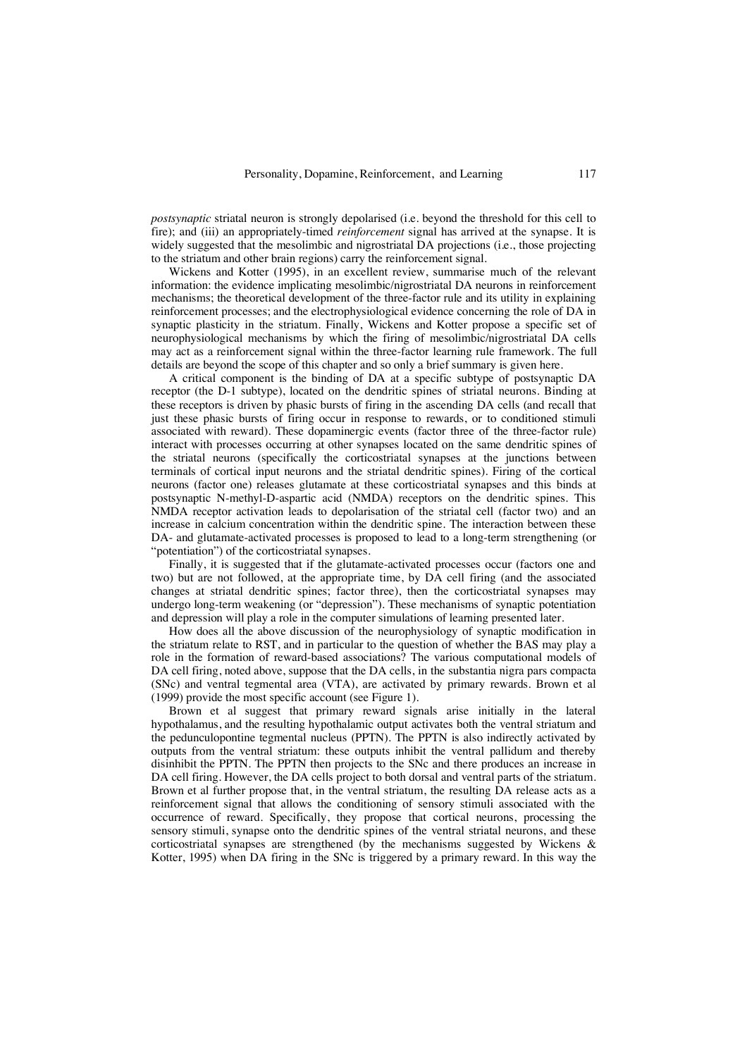*postsynaptic* striatal neuron is strongly depolarised (i.e. beyond the threshold for this cell to fire); and (iii) an appropriately-timed *reinforcement* signal has arrived at the synapse. It is widely suggested that the mesolimbic and nigrostriatal DA projections (i.e., those projecting to the striatum and other brain regions) carry the reinforcement signal.

Wickens and Kotter (1995), in an excellent review, summarise much of the relevant information: the evidence implicating mesolimbic/nigrostriatal DA neurons in reinforcement mechanisms; the theoretical development of the three-factor rule and its utility in explaining reinforcement processes; and the electrophysiological evidence concerning the role of DA in synaptic plasticity in the striatum. Finally, Wickens and Kotter propose a specific set of neurophysiological mechanisms by which the firing of mesolimbic/nigrostriatal DA cells may act as a reinforcement signal within the three-factor learning rule framework. The full details are beyond the scope of this chapter and so only a brief summary is given here.

A critical component is the binding of DA at a specific subtype of postsynaptic DA receptor (the D-1 subtype), located on the dendritic spines of striatal neurons. Binding at these receptors is driven by phasic bursts of firing in the ascending DA cells (and recall that just these phasic bursts of firing occur in response to rewards, or to conditioned stimuli associated with reward). These dopaminergic events (factor three of the three-factor rule) interact with processes occurring at other synapses located on the same dendritic spines of the striatal neurons (specifically the corticostriatal synapses at the junctions between terminals of cortical input neurons and the striatal dendritic spines). Firing of the cortical neurons (factor one) releases glutamate at these corticostriatal synapses and this binds at postsynaptic N-methyl-D-aspartic acid (NMDA) receptors on the dendritic spines. This NMDA receptor activation leads to depolarisation of the striatal cell (factor two) and an increase in calcium concentration within the dendritic spine. The interaction between these DA- and glutamate-activated processes is proposed to lead to a long-term strengthening (or "potentiation") of the corticostriatal synapses.

Finally, it is suggested that if the glutamate-activated processes occur (factors one and two) but are not followed, at the appropriate time, by DA cell firing (and the associated changes at striatal dendritic spines; factor three), then the corticostriatal synapses may undergo long-term weakening (or "depression"). These mechanisms of synaptic potentiation and depression will play a role in the computer simulations of learning presented later.

How does all the above discussion of the neurophysiology of synaptic modification in the striatum relate to RST, and in particular to the question of whether the BAS may play a role in the formation of reward-based associations? The various computational models of DA cell firing, noted above, suppose that the DA cells, in the substantia nigra pars compacta (SNc) and ventral tegmental area (VTA), are activated by primary rewards. Brown et al (1999) provide the most specific account (see Figure 1).

Brown et al suggest that primary reward signals arise initially in the lateral hypothalamus, and the resulting hypothalamic output activates both the ventral striatum and the pedunculopontine tegmental nucleus (PPTN). The PPTN is also indirectly activated by outputs from the ventral striatum: these outputs inhibit the ventral pallidum and thereby disinhibit the PPTN. The PPTN then projects to the SNc and there produces an increase in DA cell firing. However, the DA cells project to both dorsal and ventral parts of the striatum. Brown et al further propose that, in the ventral striatum, the resulting DA release acts as a reinforcement signal that allows the conditioning of sensory stimuli associated with the occurrence of reward. Specifically, they propose that cortical neurons, processing the sensory stimuli, synapse onto the dendritic spines of the ventral striatal neurons, and these corticostriatal synapses are strengthened (by the mechanisms suggested by Wickens & Kotter, 1995) when DA firing in the SNc is triggered by a primary reward. In this way the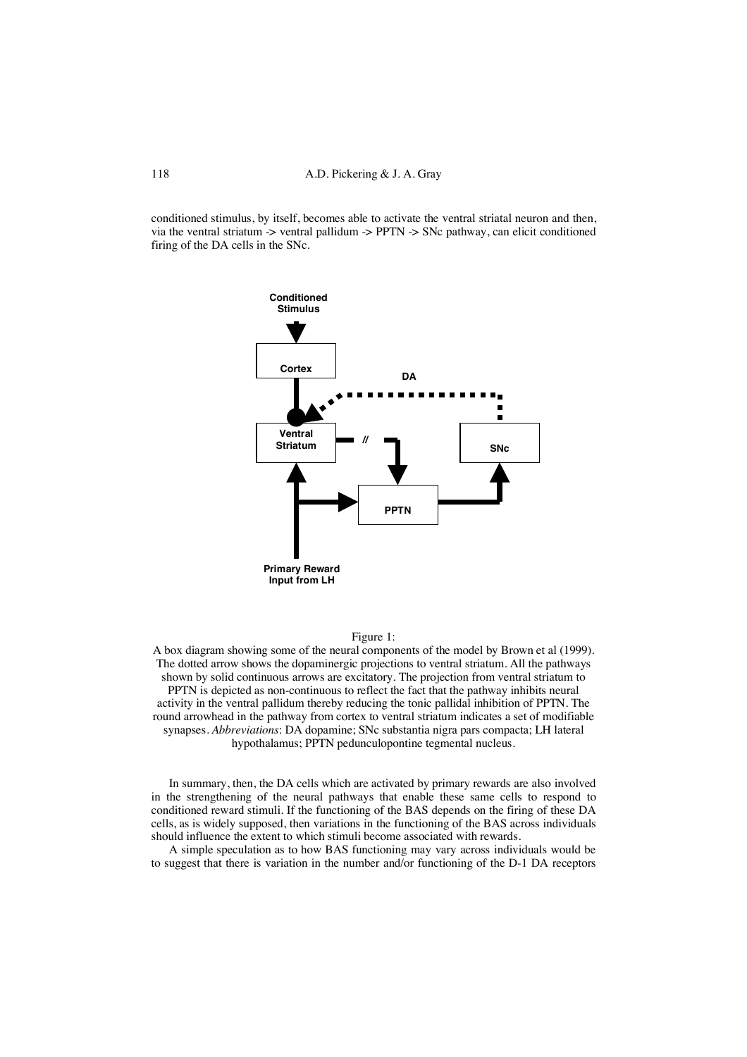conditioned stimulus, by itself, becomes able to activate the ventral striatal neuron and then, via the ventral striatum  $\rightarrow$  ventral pallidum  $\rightarrow$  PPTN  $\rightarrow$  SNc pathway, can elicit conditioned firing of the DA cells in the SNc.



## Figure 1:

A box diagram showing some of the neural components of the model by Brown et al (1999). The dotted arrow shows the dopaminergic projections to ventral striatum. All the pathways shown by solid continuous arrows are excitatory. The projection from ventral striatum to PPTN is depicted as non-continuous to reflect the fact that the pathway inhibits neural activity in the ventral pallidum thereby reducing the tonic pallidal inhibition of PPTN. The round arrowhead in the pathway from cortex to ventral striatum indicates a set of modifiable synapses. *Abbreviations*: DA dopamine; SNc substantia nigra pars compacta; LH lateral hypothalamus; PPTN pedunculopontine tegmental nucleus.

In summary, then, the DA cells which are activated by primary rewards are also involved in the strengthening of the neural pathways that enable these same cells to respond to conditioned reward stimuli. If the functioning of the BAS depends on the firing of these DA cells, as is widely supposed, then variations in the functioning of the BAS across individuals should influence the extent to which stimuli become associated with rewards.

A simple speculation as to how BAS functioning may vary across individuals would be to suggest that there is variation in the number and/or functioning of the D-1 DA receptors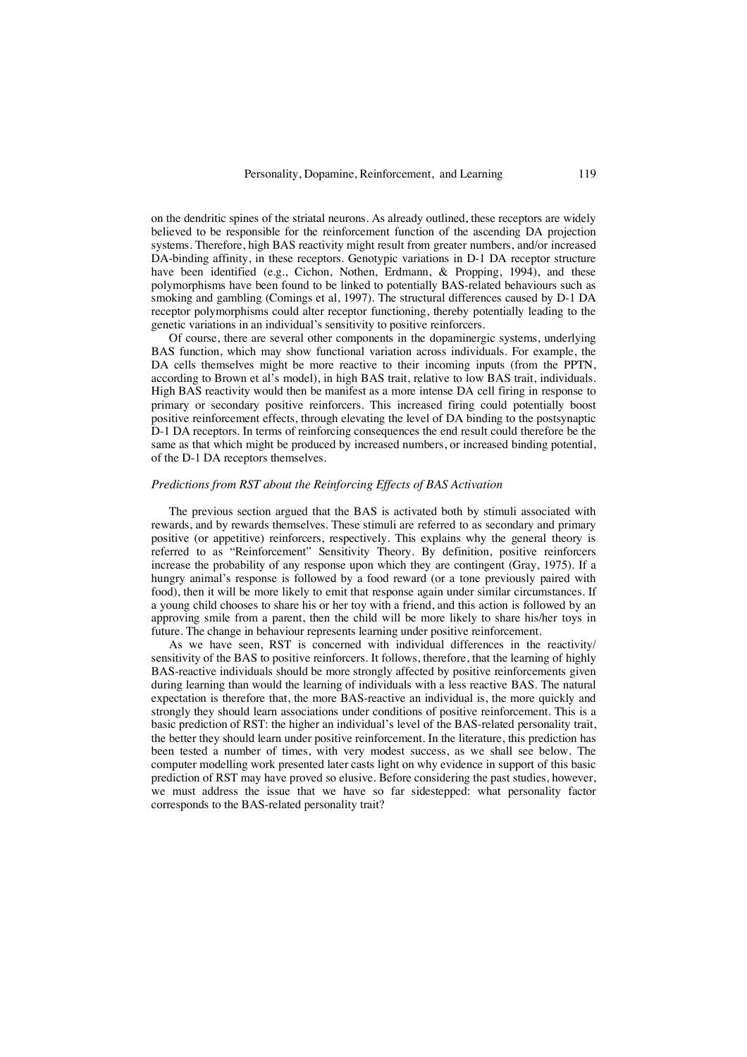on the dendritic spines of the striatal neurons. As already outlined, these receptors are widely believed to be responsible for the reinforcement function of the ascending DA projection systems. Therefore, high BAS reactivity might result from greater numbers, and/or increased DA-binding affinity, in these receptors. Genotypic variations in D-1 DA receptor structure have been identified (e.g., Cichon, Nothen, Erdmann, & Propping, 1994), and these polymorphisms have been found to be linked to potentially BAS-related behaviours such as smoking and gambling (Comings et al, 1997). The structural differences caused by D-1 DA receptor polymorphisms could alter receptor functioning, thereby potentially leading to the genetic variations in an individual's sensitivity to positive reinforcers.

Of course, there are several other components in the dopaminergic systems, underlying BAS function, which may show functional variation across individuals. For example, the DA cells themselves might be more reactive to their incoming inputs (from the PPTN, according to Brown et al's model), in high BAS trait, relative to low BAS trait, individuals. High BAS reactivity would then be manifest as a more intense DA cell firing in response to primary or secondary positive reinforcers. This increased firing could potentially boost positive reinforcement effects, through elevating the level of DA binding to the postsynaptic D-1 DA receptors. In terms of reinforcing consequences the end result could therefore be the same as that which might be produced by increased numbers, or increased binding potential, of the D-1 DA receptors themselves.

## *Predictions from RST about the Reinforcing Effects of BAS Activation*

The previous section argued that the BAS is activated both by stimuli associated with rewards, and by rewards themselves. These stimuli are referred to as secondary and primary positive (or appetitive) reinforcers, respectively. This explains why the general theory is referred to as "Reinforcement" Sensitivity Theory. By definition, positive reinforcers increase the probability of any response upon which they are contingent (Gray, 1975). If a hungry animal's response is followed by a food reward (or a tone previously paired with food), then it will be more likely to emit that response again under similar circumstances. If a young child chooses to share his or her toy with a friend, and this action is followed by an approving smile from a parent, then the child will be more likely to share his/her toys in future. The change in behaviour represents learning under positive reinforcement.

As we have seen, RST is concerned with individual differences in the reactivity/ sensitivity of the BAS to positive reinforcers. It follows, therefore, that the learning of highly BAS-reactive individuals should be more strongly affected by positive reinforcements given during learning than would the learning of individuals with a less reactive BAS. The natural expectation is therefore that, the more BAS-reactive an individual is, the more quickly and strongly they should learn associations under conditions of positive reinforcement. This is a basic prediction of RST: the higher an individual's level of the BAS-related personality trait, the better they should learn under positive reinforcement. In the literature, this prediction has been tested a number of times, with very modest success, as we shall see below. The computer modelling work presented later casts light on why evidence in support of this basic prediction of RST may have proved so elusive. Before considering the past studies, however, we must address the issue that we have so far sidestepped: what personality factor corresponds to the BAS-related personality trait?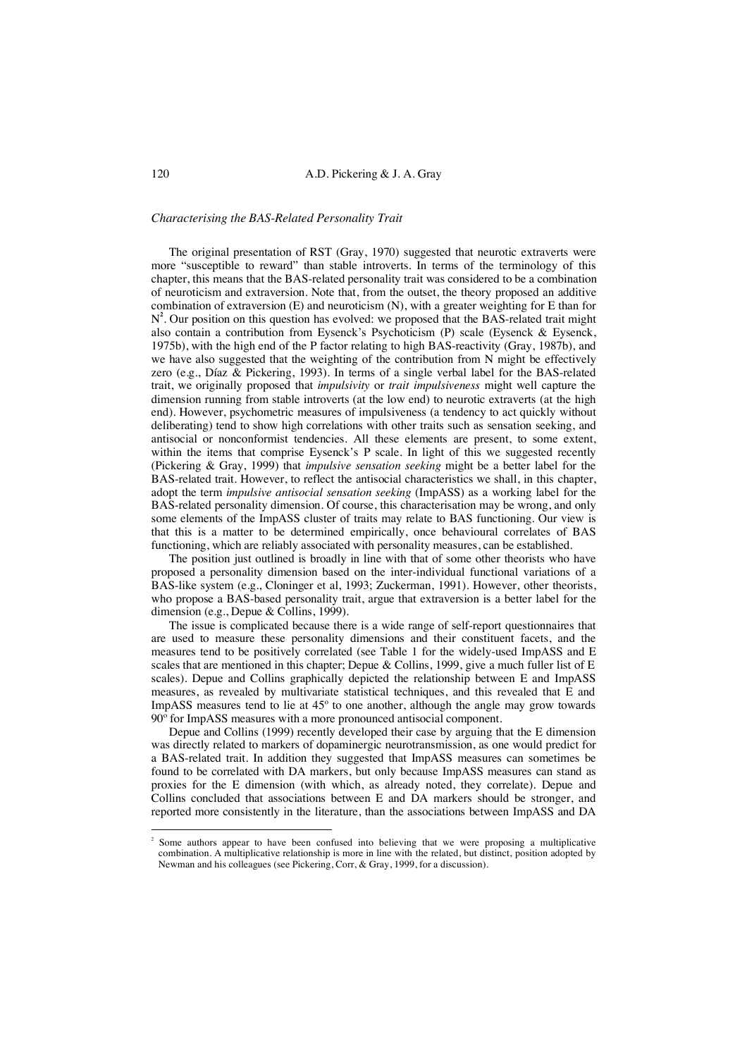## *Characterising the BAS-Related Personality Trait*

The original presentation of RST (Gray, 1970) suggested that neurotic extraverts were more "susceptible to reward" than stable introverts. In terms of the terminology of this chapter, this means that the BAS-related personality trait was considered to be a combination of neuroticism and extraversion. Note that, from the outset, the theory proposed an additive combination of extraversion (E) and neuroticism (N), with a greater weighting for E than for N**2** . Our position on this question has evolved: we proposed that the BAS-related trait might also contain a contribution from Eysenck's Psychoticism (P) scale (Eysenck & Eysenck, 1975b), with the high end of the P factor relating to high BAS-reactivity (Gray, 1987b), and we have also suggested that the weighting of the contribution from N might be effectively zero (e.g., Díaz & Pickering, 1993). In terms of a single verbal label for the BAS-related trait, we originally proposed that *impulsivity* or *trait impulsiveness* might well capture the dimension running from stable introverts (at the low end) to neurotic extraverts (at the high end). However, psychometric measures of impulsiveness (a tendency to act quickly without deliberating) tend to show high correlations with other traits such as sensation seeking, and antisocial or nonconformist tendencies. All these elements are present, to some extent, within the items that comprise Eysenck's P scale. In light of this we suggested recently (Pickering & Gray, 1999) that *impulsive sensation seeking* might be a better label for the BAS-related trait. However, to reflect the antisocial characteristics we shall, in this chapter, adopt the term *impulsive antisocial sensation seeking* (ImpASS) as a working label for the BAS-related personality dimension. Of course, this characterisation may be wrong, and only some elements of the ImpASS cluster of traits may relate to BAS functioning. Our view is that this is a matter to be determined empirically, once behavioural correlates of BAS functioning, which are reliably associated with personality measures, can be established.

The position just outlined is broadly in line with that of some other theorists who have proposed a personality dimension based on the inter-individual functional variations of a BAS-like system (e.g., Cloninger et al, 1993; Zuckerman, 1991). However, other theorists, who propose a BAS-based personality trait, argue that extraversion is a better label for the dimension (e.g., Depue & Collins, 1999).

The issue is complicated because there is a wide range of self-report questionnaires that are used to measure these personality dimensions and their constituent facets, and the measures tend to be positively correlated (see Table 1 for the widely-used ImpASS and E scales that are mentioned in this chapter; Depue & Collins, 1999, give a much fuller list of E scales). Depue and Collins graphically depicted the relationship between E and ImpASS measures, as revealed by multivariate statistical techniques, and this revealed that E and ImpASS measures tend to lie at 45º to one another, although the angle may grow towards 90º for ImpASS measures with a more pronounced antisocial component.

Depue and Collins (1999) recently developed their case by arguing that the E dimension was directly related to markers of dopaminergic neurotransmission, as one would predict for a BAS-related trait. In addition they suggested that ImpASS measures can sometimes be found to be correlated with DA markers, but only because ImpASS measures can stand as proxies for the E dimension (with which, as already noted, they correlate). Depue and Collins concluded that associations between E and DA markers should be stronger, and reported more consistently in the literature, than the associations between ImpASS and DA

 $\frac{1}{2}$  Some authors appear to have been confused into believing that we were proposing a multiplicative combination. A multiplicative relationship is more in line with the related, but distinct, position adopted by Newman and his colleagues (see Pickering, Corr, & Gray, 1999, for a discussion).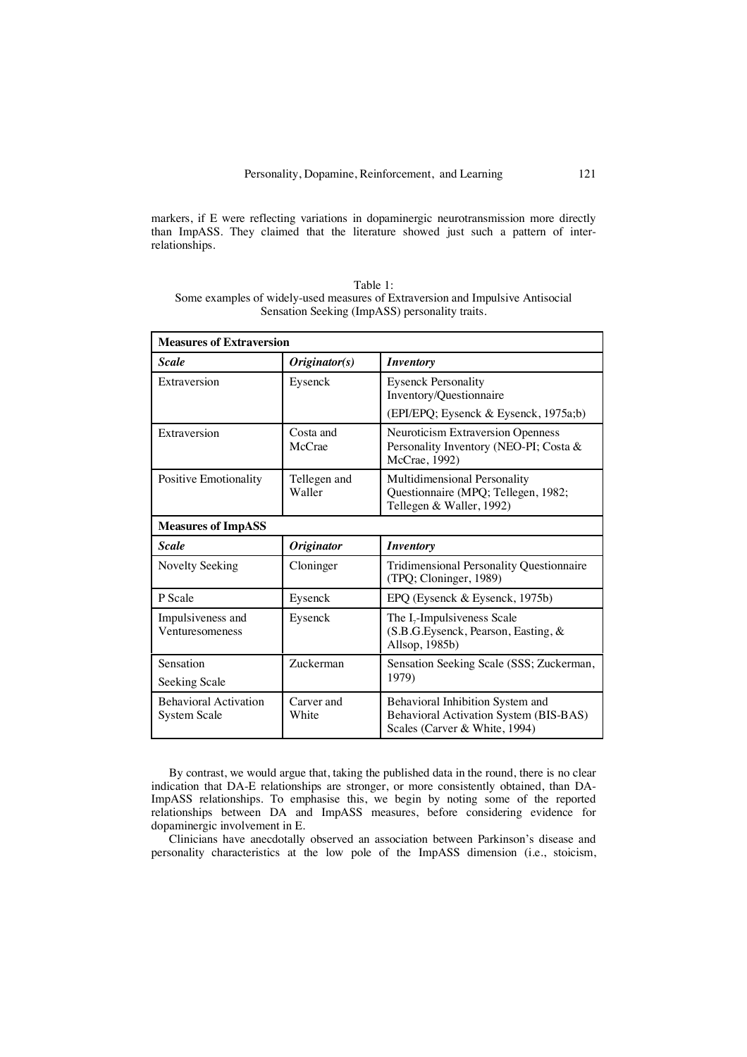markers, if E were reflecting variations in dopaminergic neurotransmission more directly than ImpASS. They claimed that the literature showed just such a pattern of interrelationships.

| Table 1:                                                                       |
|--------------------------------------------------------------------------------|
| Some examples of widely-used measures of Extraversion and Impulsive Antisocial |
| Sensation Seeking (ImpASS) personality traits.                                 |

| <b>Measures of Extraversion</b>                     |                        |                                                                                                             |  |  |  |
|-----------------------------------------------------|------------------------|-------------------------------------------------------------------------------------------------------------|--|--|--|
| <b>Scale</b>                                        | Originator(s)          | <i><b>Inventory</b></i>                                                                                     |  |  |  |
| Extraversion                                        | Eysenck                | <b>Eysenck Personality</b><br>Inventory/Questionnaire                                                       |  |  |  |
|                                                     |                        | (EPI/EPQ; Eysenck & Eysenck, 1975a;b)                                                                       |  |  |  |
| Extraversion                                        | Costa and<br>McCrae    | <b>Neuroticism Extraversion Openness</b><br>Personality Inventory (NEO-PI; Costa &<br>McCrae, 1992)         |  |  |  |
| Positive Emotionality                               | Tellegen and<br>Waller | Multidimensional Personality<br>Questionnaire (MPQ; Tellegen, 1982;<br>Tellegen & Waller, 1992)             |  |  |  |
| <b>Measures of ImpASS</b>                           |                        |                                                                                                             |  |  |  |
| <b>Scale</b>                                        | <b>Originator</b>      | <b>Inventory</b>                                                                                            |  |  |  |
| Novelty Seeking                                     | Cloninger              | Tridimensional Personality Questionnaire<br>(TPQ; Cloninger, 1989)                                          |  |  |  |
| P Scale                                             | Eysenck                | EPQ (Eysenck & Eysenck, 1975b)                                                                              |  |  |  |
| Impulsiveness and<br>Venturesomeness                | Eysenck                | The $I_7$ -Impulsiveness Scale<br>(S.B.G.Eysenck, Pearson, Easting, &<br>Allsop, 1985b)                     |  |  |  |
| Sensation                                           | Zuckerman              | Sensation Seeking Scale (SSS; Zuckerman,<br>1979)                                                           |  |  |  |
| Seeking Scale                                       |                        |                                                                                                             |  |  |  |
| <b>Behavioral Activation</b><br><b>System Scale</b> | Carver and<br>White    | Behavioral Inhibition System and<br>Behavioral Activation System (BIS-BAS)<br>Scales (Carver & White, 1994) |  |  |  |

By contrast, we would argue that, taking the published data in the round, there is no clear indication that DA-E relationships are stronger, or more consistently obtained, than DA-ImpASS relationships. To emphasise this, we begin by noting some of the reported relationships between DA and ImpASS measures, before considering evidence for dopaminergic involvement in E.

Clinicians have anecdotally observed an association between Parkinson's disease and personality characteristics at the low pole of the ImpASS dimension (i.e., stoicism,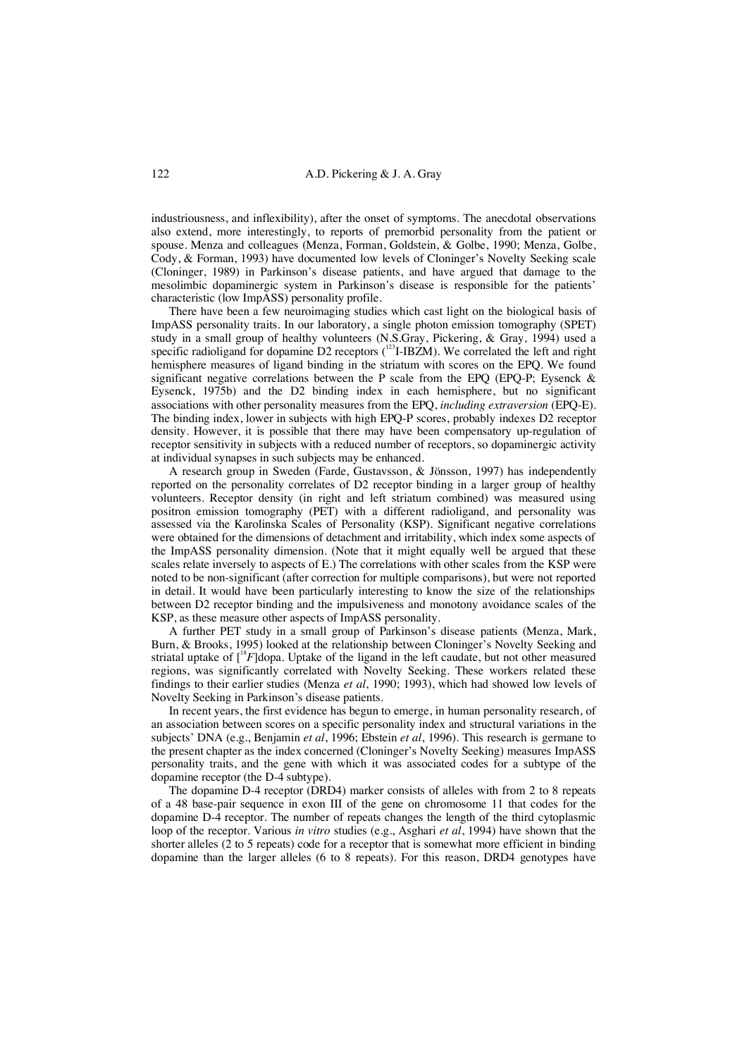industriousness, and inflexibility), after the onset of symptoms. The anecdotal observations also extend, more interestingly, to reports of premorbid personality from the patient or spouse. Menza and colleagues (Menza, Forman, Goldstein, & Golbe, 1990; Menza, Golbe, Cody, & Forman, 1993) have documented low levels of Cloninger's Novelty Seeking scale (Cloninger, 1989) in Parkinson's disease patients, and have argued that damage to the mesolimbic dopaminergic system in Parkinson's disease is responsible for the patients' characteristic (low ImpASS) personality profile.

There have been a few neuroimaging studies which cast light on the biological basis of ImpASS personality traits. In our laboratory, a single photon emission tomography (SPET) study in a small group of healthy volunteers (N.S.Gray, Pickering, & Gray, 1994) used a specific radioligand for dopamine D2 receptors ( $123$ I-IBZM). We correlated the left and right hemisphere measures of ligand binding in the striatum with scores on the EPQ. We found significant negative correlations between the P scale from the EPQ (EPQ-P; Eysenck & Eysenck, 1975b) and the D2 binding index in each hemisphere, but no significant associations with other personality measures from the EPQ, *including extraversion* (EPQ-E). The binding index, lower in subjects with high EPQ-P scores, probably indexes D2 receptor density. However, it is possible that there may have been compensatory up-regulation of receptor sensitivity in subjects with a reduced number of receptors, so dopaminergic activity at individual synapses in such subjects may be enhanced.

A research group in Sweden (Farde, Gustavsson, & Jönsson, 1997) has independently reported on the personality correlates of D2 receptor binding in a larger group of healthy volunteers. Receptor density (in right and left striatum combined) was measured using positron emission tomography (PET) with a different radioligand, and personality was assessed via the Karolinska Scales of Personality (KSP). Significant negative correlations were obtained for the dimensions of detachment and irritability, which index some aspects of the ImpASS personality dimension. (Note that it might equally well be argued that these scales relate inversely to aspects of E.) The correlations with other scales from the KSP were noted to be non-significant (after correction for multiple comparisons), but were not reported in detail. It would have been particularly interesting to know the size of the relationships between D2 receptor binding and the impulsiveness and monotony avoidance scales of the KSP, as these measure other aspects of ImpASS personality.

A further PET study in a small group of Parkinson's disease patients (Menza, Mark, Burn, & Brooks, 1995) looked at the relationship between Cloninger's Novelty Seeking and striatal uptake of  $\int_0^{18} F$  dopa. Uptake of the ligand in the left caudate, but not other measured regions, was significantly correlated with Novelty Seeking. These workers related these findings to their earlier studies (Menza *et al*, 1990; 1993), which had showed low levels of Novelty Seeking in Parkinson's disease patients.

In recent years, the first evidence has begun to emerge, in human personality research, of an association between scores on a specific personality index and structural variations in the subjects' DNA (e.g., Benjamin *et al*, 1996; Ebstein *et al*, 1996). This research is germane to the present chapter as the index concerned (Cloninger's Novelty Seeking) measures ImpASS personality traits, and the gene with which it was associated codes for a subtype of the dopamine receptor (the D-4 subtype).

The dopamine D-4 receptor (DRD4) marker consists of alleles with from 2 to 8 repeats of a 48 base-pair sequence in exon III of the gene on chromosome 11 that codes for the dopamine D-4 receptor. The number of repeats changes the length of the third cytoplasmic loop of the receptor. Various *in vitro* studies (e.g., Asghari *et al*, 1994) have shown that the shorter alleles (2 to 5 repeats) code for a receptor that is somewhat more efficient in binding dopamine than the larger alleles (6 to 8 repeats). For this reason, DRD4 genotypes have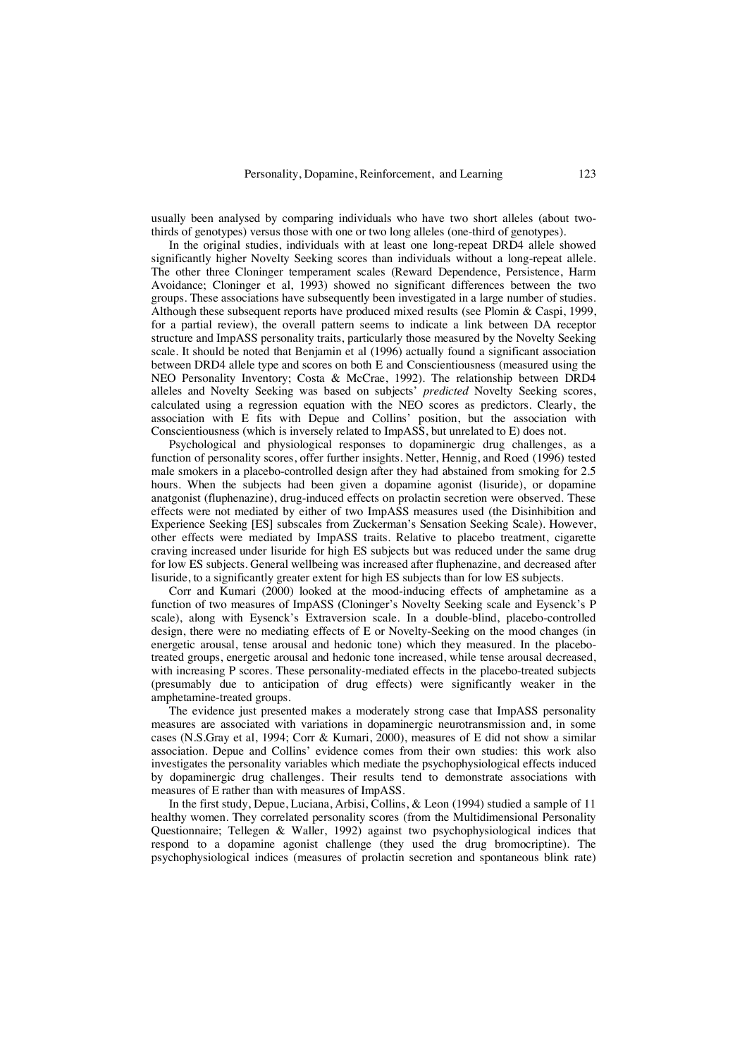usually been analysed by comparing individuals who have two short alleles (about twothirds of genotypes) versus those with one or two long alleles (one-third of genotypes).

In the original studies, individuals with at least one long-repeat DRD4 allele showed significantly higher Novelty Seeking scores than individuals without a long-repeat allele. The other three Cloninger temperament scales (Reward Dependence, Persistence, Harm Avoidance; Cloninger et al, 1993) showed no significant differences between the two groups. These associations have subsequently been investigated in a large number of studies. Although these subsequent reports have produced mixed results (see Plomin & Caspi, 1999, for a partial review), the overall pattern seems to indicate a link between DA receptor structure and ImpASS personality traits, particularly those measured by the Novelty Seeking scale. It should be noted that Benjamin et al (1996) actually found a significant association between DRD4 allele type and scores on both E and Conscientiousness (measured using the NEO Personality Inventory; Costa & McCrae, 1992). The relationship between DRD4 alleles and Novelty Seeking was based on subjects' *predicted* Novelty Seeking scores, calculated using a regression equation with the NEO scores as predictors. Clearly, the association with E fits with Depue and Collins' position, but the association with Conscientiousness (which is inversely related to ImpASS, but unrelated to E) does not.

Psychological and physiological responses to dopaminergic drug challenges, as a function of personality scores, offer further insights. Netter, Hennig, and Roed (1996) tested male smokers in a placebo-controlled design after they had abstained from smoking for 2.5 hours. When the subjects had been given a dopamine agonist (lisuride), or dopamine anatgonist (fluphenazine), drug-induced effects on prolactin secretion were observed. These effects were not mediated by either of two ImpASS measures used (the Disinhibition and Experience Seeking [ES] subscales from Zuckerman's Sensation Seeking Scale). However, other effects were mediated by ImpASS traits. Relative to placebo treatment, cigarette craving increased under lisuride for high ES subjects but was reduced under the same drug for low ES subjects. General wellbeing was increased after fluphenazine, and decreased after lisuride, to a significantly greater extent for high ES subjects than for low ES subjects.

Corr and Kumari (2000) looked at the mood-inducing effects of amphetamine as a function of two measures of ImpASS (Cloninger's Novelty Seeking scale and Eysenck's P scale), along with Eysenck's Extraversion scale. In a double-blind, placebo-controlled design, there were no mediating effects of E or Novelty-Seeking on the mood changes (in energetic arousal, tense arousal and hedonic tone) which they measured. In the placebotreated groups, energetic arousal and hedonic tone increased, while tense arousal decreased, with increasing P scores. These personality-mediated effects in the placebo-treated subjects (presumably due to anticipation of drug effects) were significantly weaker in the amphetamine-treated groups.

The evidence just presented makes a moderately strong case that ImpASS personality measures are associated with variations in dopaminergic neurotransmission and, in some cases (N.S.Gray et al, 1994; Corr & Kumari, 2000), measures of E did not show a similar association. Depue and Collins' evidence comes from their own studies: this work also investigates the personality variables which mediate the psychophysiological effects induced by dopaminergic drug challenges. Their results tend to demonstrate associations with measures of E rather than with measures of ImpASS.

In the first study, Depue, Luciana, Arbisi, Collins, & Leon (1994) studied a sample of 11 healthy women. They correlated personality scores (from the Multidimensional Personality Questionnaire; Tellegen & Waller, 1992) against two psychophysiological indices that respond to a dopamine agonist challenge (they used the drug bromocriptine). The psychophysiological indices (measures of prolactin secretion and spontaneous blink rate)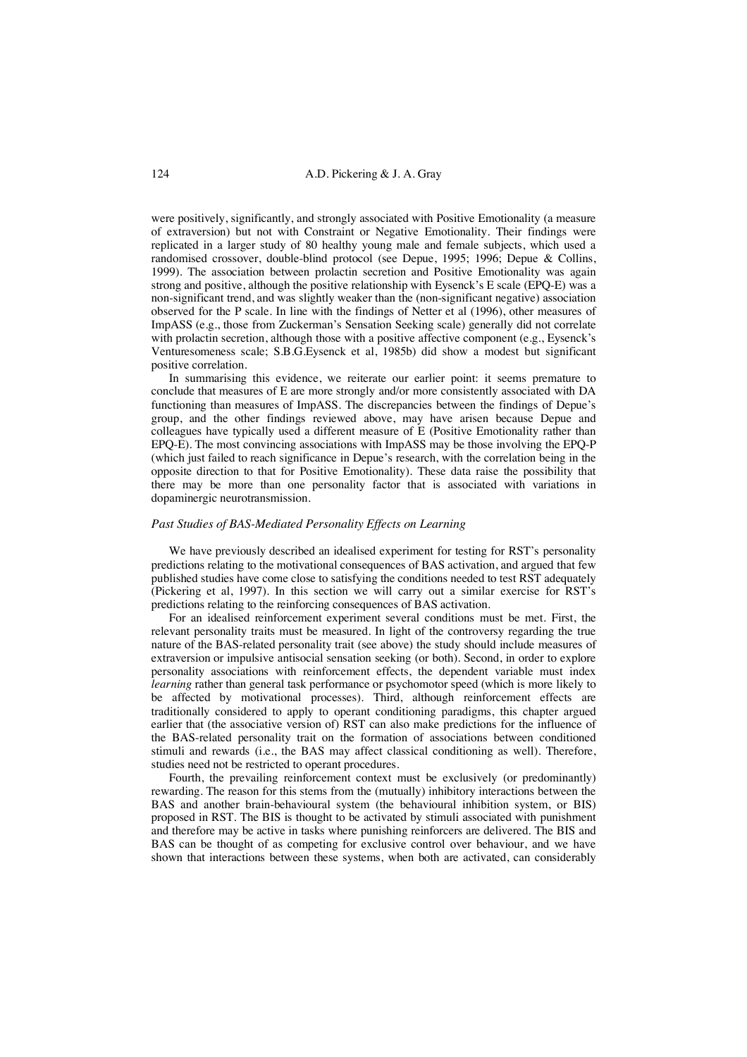were positively, significantly, and strongly associated with Positive Emotionality (a measure of extraversion) but not with Constraint or Negative Emotionality. Their findings were replicated in a larger study of 80 healthy young male and female subjects, which used a randomised crossover, double-blind protocol (see Depue, 1995; 1996; Depue & Collins, 1999). The association between prolactin secretion and Positive Emotionality was again strong and positive, although the positive relationship with Eysenck's E scale (EPQ-E) was a non-significant trend, and was slightly weaker than the (non-significant negative) association observed for the P scale. In line with the findings of Netter et al (1996), other measures of ImpASS (e.g., those from Zuckerman's Sensation Seeking scale) generally did not correlate with prolactin secretion, although those with a positive affective component (e.g., Eysenck's Venturesomeness scale; S.B.G.Eysenck et al, 1985b) did show a modest but significant positive correlation.

In summarising this evidence, we reiterate our earlier point: it seems premature to conclude that measures of E are more strongly and/or more consistently associated with DA functioning than measures of ImpASS. The discrepancies between the findings of Depue's group, and the other findings reviewed above, may have arisen because Depue and colleagues have typically used a different measure of E (Positive Emotionality rather than EPQ-E). The most convincing associations with ImpASS may be those involving the EPQ-P (which just failed to reach significance in Depue's research, with the correlation being in the opposite direction to that for Positive Emotionality). These data raise the possibility that there may be more than one personality factor that is associated with variations in dopaminergic neurotransmission.

#### *Past Studies of BAS-Mediated Personality Effects on Learning*

We have previously described an idealised experiment for testing for RST's personality predictions relating to the motivational consequences of BAS activation, and argued that few published studies have come close to satisfying the conditions needed to test RST adequately (Pickering et al, 1997). In this section we will carry out a similar exercise for RST's predictions relating to the reinforcing consequences of BAS activation.

For an idealised reinforcement experiment several conditions must be met. First, the relevant personality traits must be measured. In light of the controversy regarding the true nature of the BAS-related personality trait (see above) the study should include measures of extraversion or impulsive antisocial sensation seeking (or both). Second, in order to explore personality associations with reinforcement effects, the dependent variable must index *learning* rather than general task performance or psychomotor speed (which is more likely to be affected by motivational processes). Third, although reinforcement effects are traditionally considered to apply to operant conditioning paradigms, this chapter argued earlier that (the associative version of) RST can also make predictions for the influence of the BAS-related personality trait on the formation of associations between conditioned stimuli and rewards (i.e., the BAS may affect classical conditioning as well). Therefore, studies need not be restricted to operant procedures.

Fourth, the prevailing reinforcement context must be exclusively (or predominantly) rewarding. The reason for this stems from the (mutually) inhibitory interactions between the BAS and another brain-behavioural system (the behavioural inhibition system, or BIS) proposed in RST. The BIS is thought to be activated by stimuli associated with punishment and therefore may be active in tasks where punishing reinforcers are delivered. The BIS and BAS can be thought of as competing for exclusive control over behaviour, and we have shown that interactions between these systems, when both are activated, can considerably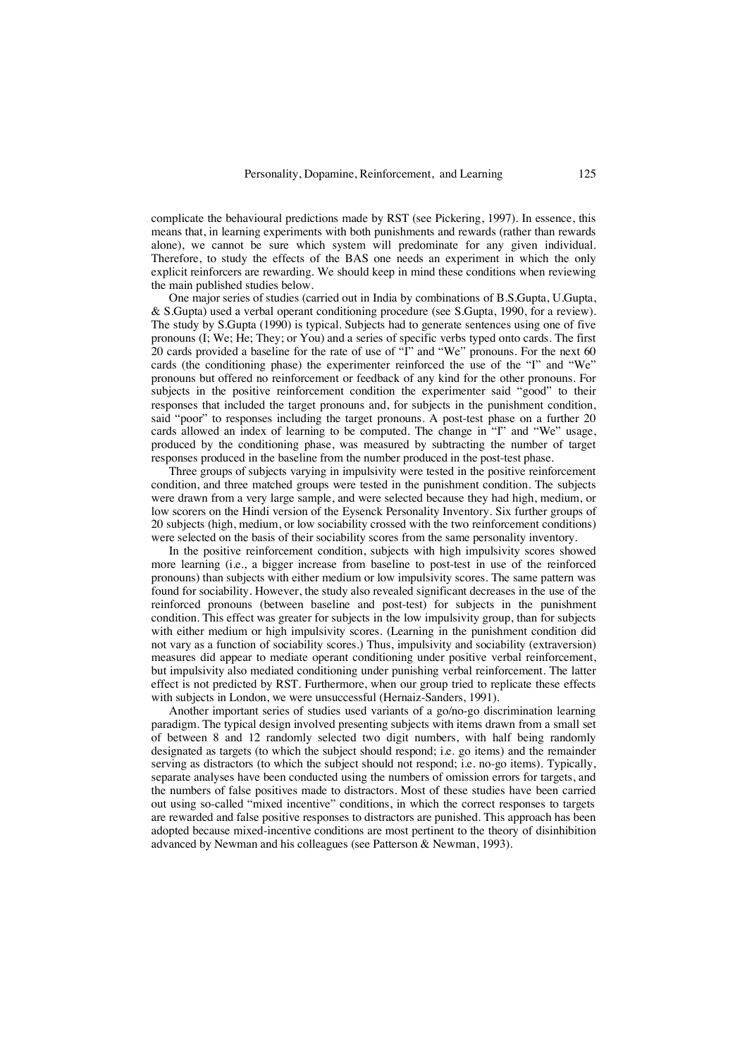complicate the behavioural predictions made by RST (see Pickering, 1997). In essence, this means that, in learning experiments with both punishments and rewards (rather than rewards alone), we cannot be sure which system will predominate for any given individual. Therefore, to study the effects of the BAS one needs an experiment in which the only explicit reinforcers are rewarding. We should keep in mind these conditions when reviewing the main published studies below.

One major series of studies (carried out in India by combinations of B.S.Gupta, U.Gupta, & S.Gupta) used a verbal operant conditioning procedure (see S.Gupta, 1990, for a review). The study by S.Gupta (1990) is typical. Subjects had to generate sentences using one of five pronouns (I; We; He; They; or You) and a series of specific verbs typed onto cards. The first 20 cards provided a baseline for the rate of use of "I" and "We" pronouns. For the next 60 cards (the conditioning phase) the experimenter reinforced the use of the "I" and "We" pronouns but offered no reinforcement or feedback of any kind for the other pronouns. For subjects in the positive reinforcement condition the experimenter said "good" to their responses that included the target pronouns and, for subjects in the punishment condition, said "poor" to responses including the target pronouns. A post-test phase on a further 20 cards allowed an index of learning to be computed. The change in "I" and "We" usage, produced by the conditioning phase, was measured by subtracting the number of target responses produced in the baseline from the number produced in the post-test phase.

Three groups of subjects varying in impulsivity were tested in the positive reinforcement condition, and three matched groups were tested in the punishment condition. The subjects were drawn from a very large sample, and were selected because they had high, medium, or low scorers on the Hindi version of the Eysenck Personality Inventory. Six further groups of 20 subjects (high, medium, or low sociability crossed with the two reinforcement conditions) were selected on the basis of their sociability scores from the same personality inventory.

In the positive reinforcement condition, subjects with high impulsivity scores showed more learning (i.e., a bigger increase from baseline to post-test in use of the reinforced pronouns) than subjects with either medium or low impulsivity scores. The same pattern was found for sociability. However, the study also revealed significant decreases in the use of the reinforced pronouns (between baseline and post-test) for subjects in the punishment condition. This effect was greater for subjects in the low impulsivity group, than for subjects with either medium or high impulsivity scores. (Learning in the punishment condition did not vary as a function of sociability scores.) Thus, impulsivity and sociability (extraversion) measures did appear to mediate operant conditioning under positive verbal reinforcement, but impulsivity also mediated conditioning under punishing verbal reinforcement. The latter effect is not predicted by RST. Furthermore, when our group tried to replicate these effects with subjects in London, we were unsuccessful (Hernaiz-Sanders, 1991).

Another important series of studies used variants of a go/no-go discrimination learning paradigm. The typical design involved presenting subjects with items drawn from a small set of between 8 and 12 randomly selected two digit numbers, with half being randomly designated as targets (to which the subject should respond; i.e. go items) and the remainder serving as distractors (to which the subject should not respond; i.e. no-go items). Typically, separate analyses have been conducted using the numbers of omission errors for targets, and the numbers of false positives made to distractors. Most of these studies have been carried out using so-called "mixed incentive" conditions, in which the correct responses to targets are rewarded and false positive responses to distractors are punished. This approach has been adopted because mixed-incentive conditions are most pertinent to the theory of disinhibition advanced by Newman and his colleagues (see Patterson & Newman, 1993).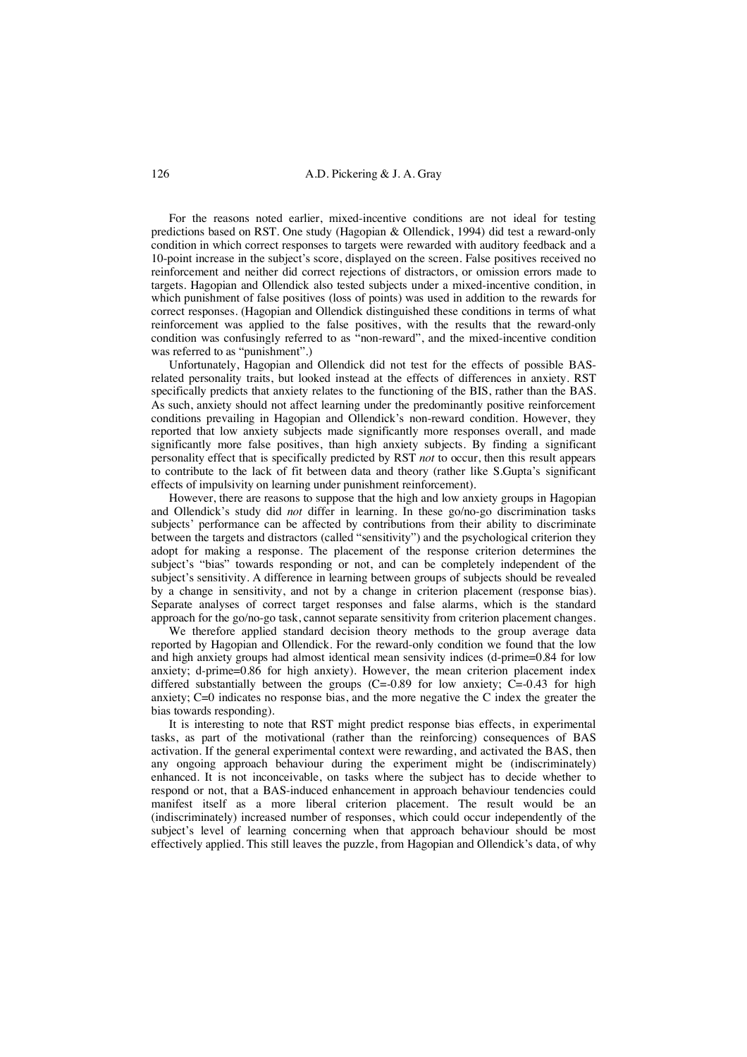For the reasons noted earlier, mixed-incentive conditions are not ideal for testing predictions based on RST. One study (Hagopian & Ollendick, 1994) did test a reward-only condition in which correct responses to targets were rewarded with auditory feedback and a 10-point increase in the subject's score, displayed on the screen. False positives received no reinforcement and neither did correct rejections of distractors, or omission errors made to targets. Hagopian and Ollendick also tested subjects under a mixed-incentive condition, in which punishment of false positives (loss of points) was used in addition to the rewards for correct responses. (Hagopian and Ollendick distinguished these conditions in terms of what reinforcement was applied to the false positives, with the results that the reward-only condition was confusingly referred to as "non-reward", and the mixed-incentive condition was referred to as "punishment".)

Unfortunately, Hagopian and Ollendick did not test for the effects of possible BASrelated personality traits, but looked instead at the effects of differences in anxiety. RST specifically predicts that anxiety relates to the functioning of the BIS, rather than the BAS. As such, anxiety should not affect learning under the predominantly positive reinforcement conditions prevailing in Hagopian and Ollendick's non-reward condition. However, they reported that low anxiety subjects made significantly more responses overall, and made significantly more false positives, than high anxiety subjects. By finding a significant personality effect that is specifically predicted by RST *not* to occur, then this result appears to contribute to the lack of fit between data and theory (rather like S.Gupta's significant effects of impulsivity on learning under punishment reinforcement).

However, there are reasons to suppose that the high and low anxiety groups in Hagopian and Ollendick's study did *not* differ in learning. In these go/no-go discrimination tasks subjects' performance can be affected by contributions from their ability to discriminate between the targets and distractors (called "sensitivity") and the psychological criterion they adopt for making a response. The placement of the response criterion determines the subject's "bias" towards responding or not, and can be completely independent of the subject's sensitivity. A difference in learning between groups of subjects should be revealed by a change in sensitivity, and not by a change in criterion placement (response bias). Separate analyses of correct target responses and false alarms, which is the standard approach for the go/no-go task, cannot separate sensitivity from criterion placement changes.

We therefore applied standard decision theory methods to the group average data reported by Hagopian and Ollendick. For the reward-only condition we found that the low and high anxiety groups had almost identical mean sensivity indices (d-prime=0.84 for low anxiety; d-prime=0.86 for high anxiety). However, the mean criterion placement index differed substantially between the groups  $(C=0.89$  for low anxiety;  $C=-0.43$  for high anxiety; C=0 indicates no response bias, and the more negative the C index the greater the bias towards responding).

It is interesting to note that RST might predict response bias effects, in experimental tasks, as part of the motivational (rather than the reinforcing) consequences of BAS activation. If the general experimental context were rewarding, and activated the BAS, then any ongoing approach behaviour during the experiment might be (indiscriminately) enhanced. It is not inconceivable, on tasks where the subject has to decide whether to respond or not, that a BAS-induced enhancement in approach behaviour tendencies could manifest itself as a more liberal criterion placement. The result would be an (indiscriminately) increased number of responses, which could occur independently of the subject's level of learning concerning when that approach behaviour should be most effectively applied. This still leaves the puzzle, from Hagopian and Ollendick's data, of why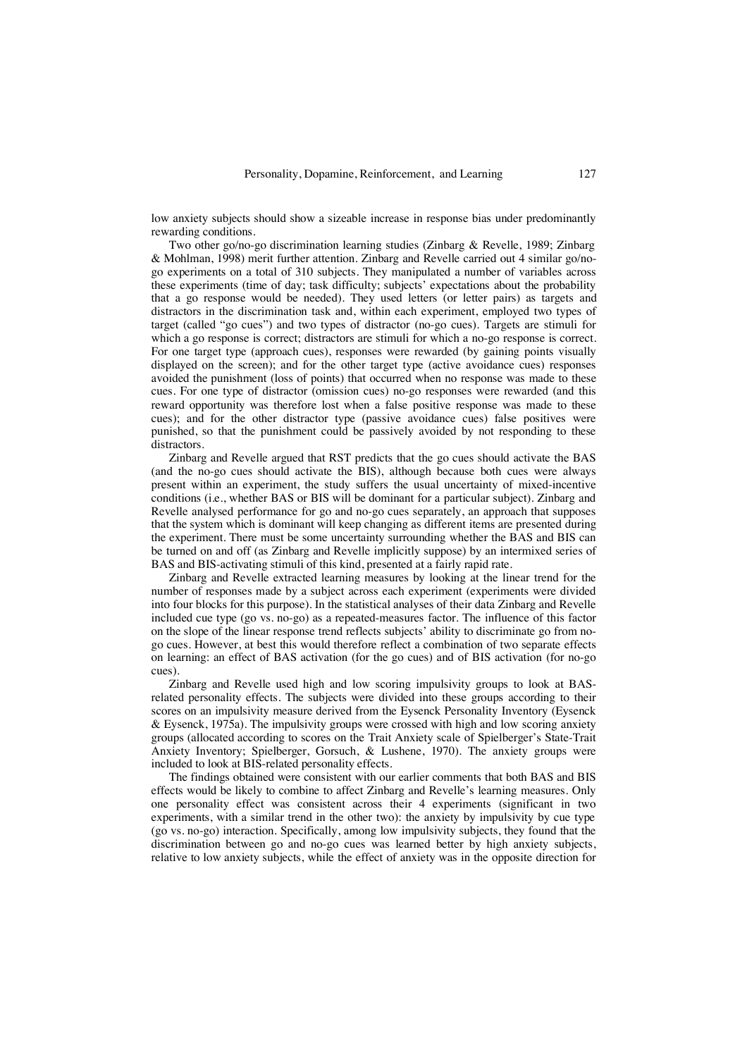low anxiety subjects should show a sizeable increase in response bias under predominantly rewarding conditions.

Two other go/no-go discrimination learning studies (Zinbarg & Revelle, 1989; Zinbarg & Mohlman, 1998) merit further attention. Zinbarg and Revelle carried out 4 similar go/nogo experiments on a total of 310 subjects. They manipulated a number of variables across these experiments (time of day; task difficulty; subjects' expectations about the probability that a go response would be needed). They used letters (or letter pairs) as targets and distractors in the discrimination task and, within each experiment, employed two types of target (called "go cues") and two types of distractor (no-go cues). Targets are stimuli for which a go response is correct; distractors are stimuli for which a no-go response is correct. For one target type (approach cues), responses were rewarded (by gaining points visually displayed on the screen); and for the other target type (active avoidance cues) responses avoided the punishment (loss of points) that occurred when no response was made to these cues. For one type of distractor (omission cues) no-go responses were rewarded (and this reward opportunity was therefore lost when a false positive response was made to these cues); and for the other distractor type (passive avoidance cues) false positives were punished, so that the punishment could be passively avoided by not responding to these distractors.

Zinbarg and Revelle argued that RST predicts that the go cues should activate the BAS (and the no-go cues should activate the BIS), although because both cues were always present within an experiment, the study suffers the usual uncertainty of mixed-incentive conditions (i.e., whether BAS or BIS will be dominant for a particular subject). Zinbarg and Revelle analysed performance for go and no-go cues separately, an approach that supposes that the system which is dominant will keep changing as different items are presented during the experiment. There must be some uncertainty surrounding whether the BAS and BIS can be turned on and off (as Zinbarg and Revelle implicitly suppose) by an intermixed series of BAS and BIS-activating stimuli of this kind, presented at a fairly rapid rate.

Zinbarg and Revelle extracted learning measures by looking at the linear trend for the number of responses made by a subject across each experiment (experiments were divided into four blocks for this purpose). In the statistical analyses of their data Zinbarg and Revelle included cue type (go vs. no-go) as a repeated-measures factor. The influence of this factor on the slope of the linear response trend reflects subjects' ability to discriminate go from nogo cues. However, at best this would therefore reflect a combination of two separate effects on learning: an effect of BAS activation (for the go cues) and of BIS activation (for no-go cues).

Zinbarg and Revelle used high and low scoring impulsivity groups to look at BASrelated personality effects. The subjects were divided into these groups according to their scores on an impulsivity measure derived from the Eysenck Personality Inventory (Eysenck & Eysenck, 1975a). The impulsivity groups were crossed with high and low scoring anxiety groups (allocated according to scores on the Trait Anxiety scale of Spielberger's State-Trait Anxiety Inventory; Spielberger, Gorsuch, & Lushene, 1970). The anxiety groups were included to look at BIS-related personality effects.

The findings obtained were consistent with our earlier comments that both BAS and BIS effects would be likely to combine to affect Zinbarg and Revelle's learning measures. Only one personality effect was consistent across their 4 experiments (significant in two experiments, with a similar trend in the other two): the anxiety by impulsivity by cue type (go vs. no-go) interaction. Specifically, among low impulsivity subjects, they found that the discrimination between go and no-go cues was learned better by high anxiety subjects, relative to low anxiety subjects, while the effect of anxiety was in the opposite direction for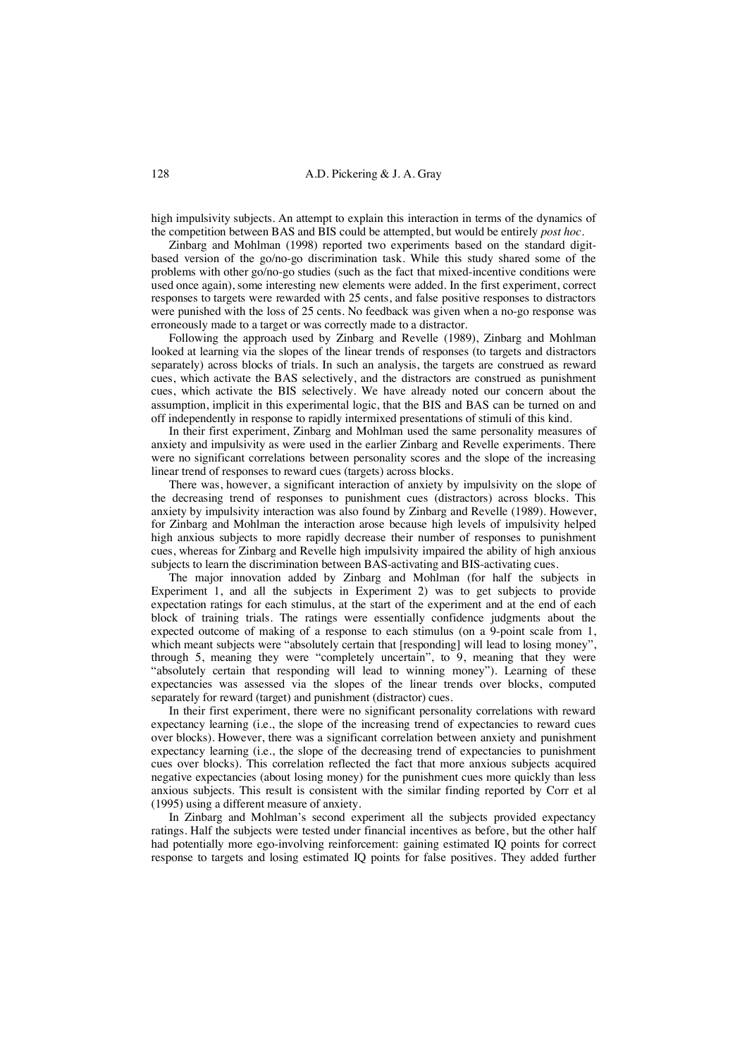high impulsivity subjects. An attempt to explain this interaction in terms of the dynamics of the competition between BAS and BIS could be attempted, but would be entirely *post hoc*.

Zinbarg and Mohlman (1998) reported two experiments based on the standard digitbased version of the go/no-go discrimination task. While this study shared some of the problems with other go/no-go studies (such as the fact that mixed-incentive conditions were used once again), some interesting new elements were added. In the first experiment, correct responses to targets were rewarded with 25 cents, and false positive responses to distractors were punished with the loss of 25 cents. No feedback was given when a no-go response was erroneously made to a target or was correctly made to a distractor.

Following the approach used by Zinbarg and Revelle (1989), Zinbarg and Mohlman looked at learning via the slopes of the linear trends of responses (to targets and distractors separately) across blocks of trials. In such an analysis, the targets are construed as reward cues, which activate the BAS selectively, and the distractors are construed as punishment cues, which activate the BIS selectively. We have already noted our concern about the assumption, implicit in this experimental logic, that the BIS and BAS can be turned on and off independently in response to rapidly intermixed presentations of stimuli of this kind.

In their first experiment, Zinbarg and Mohlman used the same personality measures of anxiety and impulsivity as were used in the earlier Zinbarg and Revelle experiments. There were no significant correlations between personality scores and the slope of the increasing linear trend of responses to reward cues (targets) across blocks.

There was, however, a significant interaction of anxiety by impulsivity on the slope of the decreasing trend of responses to punishment cues (distractors) across blocks. This anxiety by impulsivity interaction was also found by Zinbarg and Revelle (1989). However, for Zinbarg and Mohlman the interaction arose because high levels of impulsivity helped high anxious subjects to more rapidly decrease their number of responses to punishment cues, whereas for Zinbarg and Revelle high impulsivity impaired the ability of high anxious subjects to learn the discrimination between BAS-activating and BIS-activating cues.

The major innovation added by Zinbarg and Mohlman (for half the subjects in Experiment 1, and all the subjects in Experiment 2) was to get subjects to provide expectation ratings for each stimulus, at the start of the experiment and at the end of each block of training trials. The ratings were essentially confidence judgments about the expected outcome of making of a response to each stimulus (on a 9-point scale from 1, which meant subjects were "absolutely certain that [responding] will lead to losing money", through 5, meaning they were "completely uncertain", to 9, meaning that they were "absolutely certain that responding will lead to winning money"). Learning of these expectancies was assessed via the slopes of the linear trends over blocks, computed separately for reward (target) and punishment (distractor) cues.

In their first experiment, there were no significant personality correlations with reward expectancy learning (i.e., the slope of the increasing trend of expectancies to reward cues over blocks). However, there was a significant correlation between anxiety and punishment expectancy learning (i.e., the slope of the decreasing trend of expectancies to punishment cues over blocks). This correlation reflected the fact that more anxious subjects acquired negative expectancies (about losing money) for the punishment cues more quickly than less anxious subjects. This result is consistent with the similar finding reported by Corr et al (1995) using a different measure of anxiety.

In Zinbarg and Mohlman's second experiment all the subjects provided expectancy ratings. Half the subjects were tested under financial incentives as before, but the other half had potentially more ego-involving reinforcement: gaining estimated IQ points for correct response to targets and losing estimated IQ points for false positives. They added further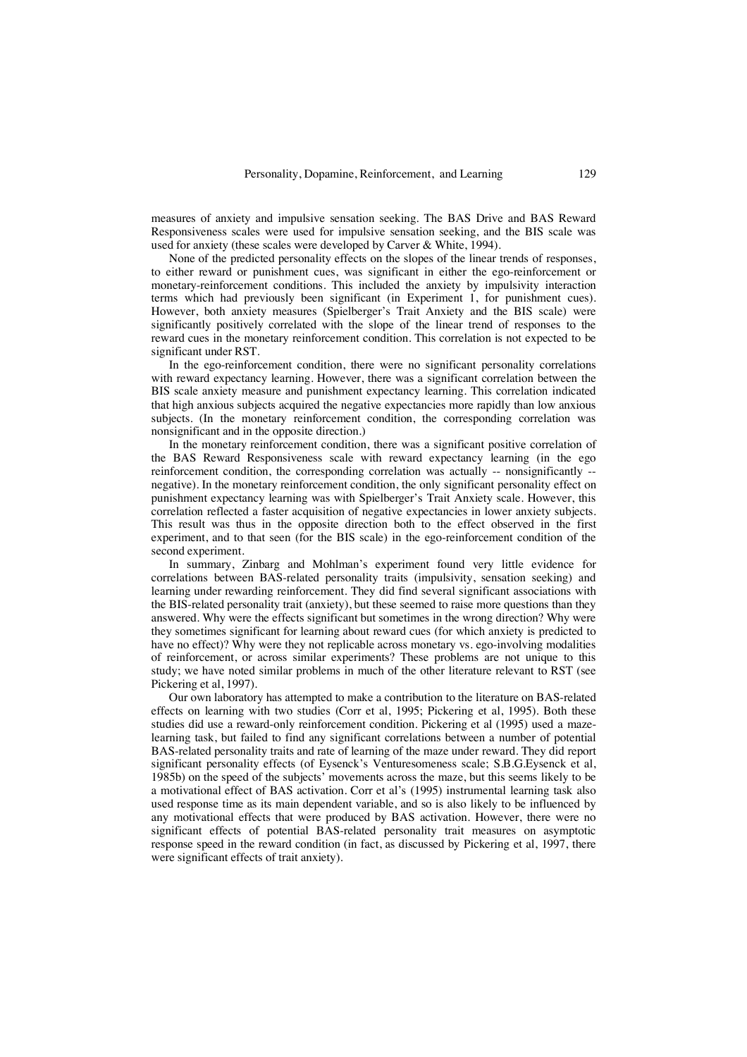measures of anxiety and impulsive sensation seeking. The BAS Drive and BAS Reward Responsiveness scales were used for impulsive sensation seeking, and the BIS scale was used for anxiety (these scales were developed by Carver & White, 1994).

None of the predicted personality effects on the slopes of the linear trends of responses, to either reward or punishment cues, was significant in either the ego-reinforcement or monetary-reinforcement conditions. This included the anxiety by impulsivity interaction terms which had previously been significant (in Experiment 1, for punishment cues). However, both anxiety measures (Spielberger's Trait Anxiety and the BIS scale) were significantly positively correlated with the slope of the linear trend of responses to the reward cues in the monetary reinforcement condition. This correlation is not expected to be significant under RST.

In the ego-reinforcement condition, there were no significant personality correlations with reward expectancy learning. However, there was a significant correlation between the BIS scale anxiety measure and punishment expectancy learning. This correlation indicated that high anxious subjects acquired the negative expectancies more rapidly than low anxious subjects. (In the monetary reinforcement condition, the corresponding correlation was nonsignificant and in the opposite direction.)

In the monetary reinforcement condition, there was a significant positive correlation of the BAS Reward Responsiveness scale with reward expectancy learning (in the ego reinforcement condition, the corresponding correlation was actually -- nonsignificantly - negative). In the monetary reinforcement condition, the only significant personality effect on punishment expectancy learning was with Spielberger's Trait Anxiety scale. However, this correlation reflected a faster acquisition of negative expectancies in lower anxiety subjects. This result was thus in the opposite direction both to the effect observed in the first experiment, and to that seen (for the BIS scale) in the ego-reinforcement condition of the second experiment.

In summary, Zinbarg and Mohlman's experiment found very little evidence for correlations between BAS-related personality traits (impulsivity, sensation seeking) and learning under rewarding reinforcement. They did find several significant associations with the BIS-related personality trait (anxiety), but these seemed to raise more questions than they answered. Why were the effects significant but sometimes in the wrong direction? Why were they sometimes significant for learning about reward cues (for which anxiety is predicted to have no effect)? Why were they not replicable across monetary vs. ego-involving modalities of reinforcement, or across similar experiments? These problems are not unique to this study; we have noted similar problems in much of the other literature relevant to RST (see Pickering et al, 1997).

Our own laboratory has attempted to make a contribution to the literature on BAS-related effects on learning with two studies (Corr et al, 1995; Pickering et al, 1995). Both these studies did use a reward-only reinforcement condition. Pickering et al (1995) used a mazelearning task, but failed to find any significant correlations between a number of potential BAS-related personality traits and rate of learning of the maze under reward. They did report significant personality effects (of Eysenck's Venturesomeness scale; S.B.G.Eysenck et al, 1985b) on the speed of the subjects' movements across the maze, but this seems likely to be a motivational effect of BAS activation. Corr et al's (1995) instrumental learning task also used response time as its main dependent variable, and so is also likely to be influenced by any motivational effects that were produced by BAS activation. However, there were no significant effects of potential BAS-related personality trait measures on asymptotic response speed in the reward condition (in fact, as discussed by Pickering et al, 1997, there were significant effects of trait anxiety).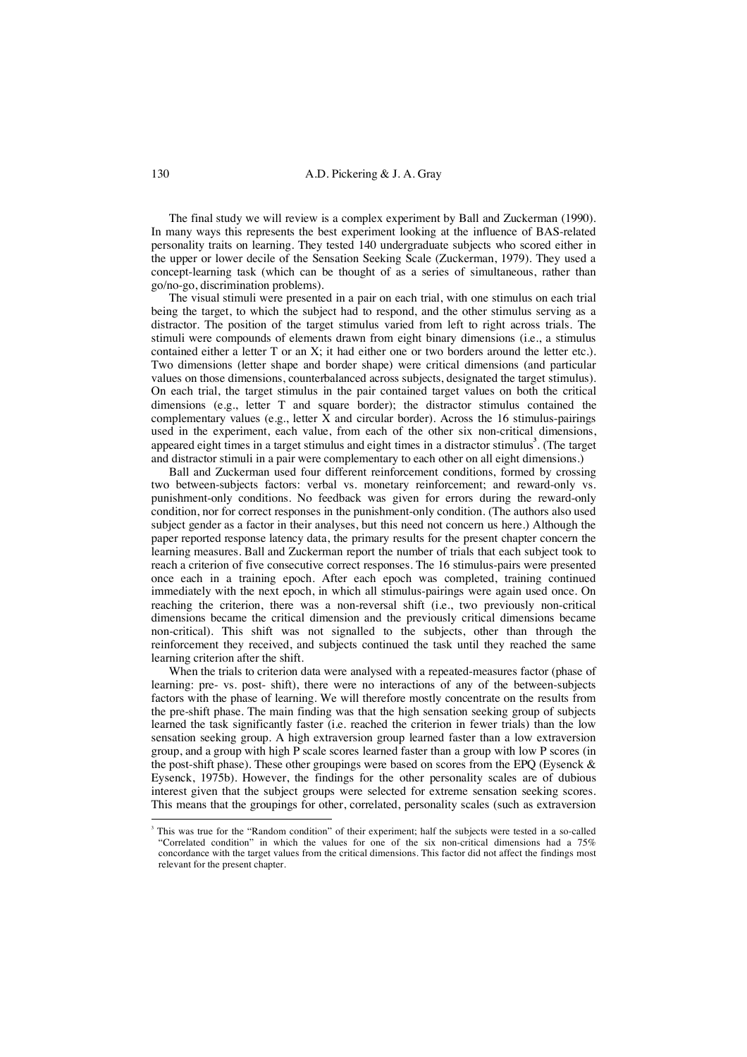The final study we will review is a complex experiment by Ball and Zuckerman (1990). In many ways this represents the best experiment looking at the influence of BAS-related personality traits on learning. They tested 140 undergraduate subjects who scored either in the upper or lower decile of the Sensation Seeking Scale (Zuckerman, 1979). They used a concept-learning task (which can be thought of as a series of simultaneous, rather than go/no-go, discrimination problems).

The visual stimuli were presented in a pair on each trial, with one stimulus on each trial being the target, to which the subject had to respond, and the other stimulus serving as a distractor. The position of the target stimulus varied from left to right across trials. The stimuli were compounds of elements drawn from eight binary dimensions (i.e., a stimulus contained either a letter T or an X; it had either one or two borders around the letter etc.). Two dimensions (letter shape and border shape) were critical dimensions (and particular values on those dimensions, counterbalanced across subjects, designated the target stimulus). On each trial, the target stimulus in the pair contained target values on both the critical dimensions (e.g., letter T and square border); the distractor stimulus contained the complementary values (e.g., letter  $\bar{X}$  and circular border). Across the 16 stimulus-pairings used in the experiment, each value, from each of the other six non-critical dimensions, appeared eight times in a target stimulus and eight times in a distractor stimulus<sup>3</sup>. (The target and distractor stimuli in a pair were complementary to each other on all eight dimensions.)

Ball and Zuckerman used four different reinforcement conditions, formed by crossing two between-subjects factors: verbal vs. monetary reinforcement; and reward-only vs. punishment-only conditions. No feedback was given for errors during the reward-only condition, nor for correct responses in the punishment-only condition. (The authors also used subject gender as a factor in their analyses, but this need not concern us here.) Although the paper reported response latency data, the primary results for the present chapter concern the learning measures. Ball and Zuckerman report the number of trials that each subject took to reach a criterion of five consecutive correct responses. The 16 stimulus-pairs were presented once each in a training epoch. After each epoch was completed, training continued immediately with the next epoch, in which all stimulus-pairings were again used once. On reaching the criterion, there was a non-reversal shift (i.e., two previously non-critical dimensions became the critical dimension and the previously critical dimensions became non-critical). This shift was not signalled to the subjects, other than through the reinforcement they received, and subjects continued the task until they reached the same learning criterion after the shift.

When the trials to criterion data were analysed with a repeated-measures factor (phase of learning: pre- vs. post- shift), there were no interactions of any of the between-subjects factors with the phase of learning. We will therefore mostly concentrate on the results from the pre-shift phase. The main finding was that the high sensation seeking group of subjects learned the task significantly faster (i.e. reached the criterion in fewer trials) than the low sensation seeking group. A high extraversion group learned faster than a low extraversion group, and a group with high P scale scores learned faster than a group with low P scores (in the post-shift phase). These other groupings were based on scores from the EPQ (Eysenck & Eysenck, 1975b). However, the findings for the other personality scales are of dubious interest given that the subject groups were selected for extreme sensation seeking scores. This means that the groupings for other, correlated, personality scales (such as extraversion

 $\frac{1}{3}$  This was true for the "Random condition" of their experiment; half the subjects were tested in a so-called "Correlated condition" in which the values for one of the six non-critical dimensions had a 75% concordance with the target values from the critical dimensions. This factor did not affect the findings most relevant for the present chapter.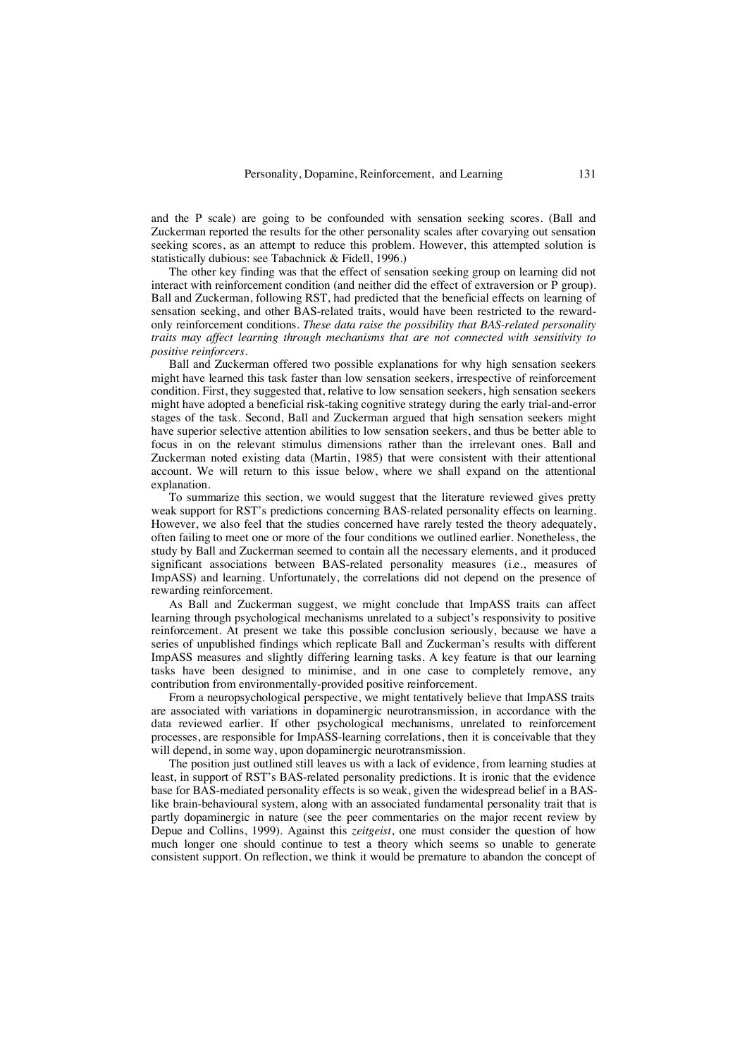and the P scale) are going to be confounded with sensation seeking scores. (Ball and Zuckerman reported the results for the other personality scales after covarying out sensation seeking scores, as an attempt to reduce this problem. However, this attempted solution is statistically dubious: see Tabachnick & Fidell, 1996.)

The other key finding was that the effect of sensation seeking group on learning did not interact with reinforcement condition (and neither did the effect of extraversion or P group). Ball and Zuckerman, following RST, had predicted that the beneficial effects on learning of sensation seeking, and other BAS-related traits, would have been restricted to the rewardonly reinforcement conditions. *These data raise the possibility that BAS-related personality traits may affect learning through mechanisms that are not connected with sensitivity to positive reinforcers*.

Ball and Zuckerman offered two possible explanations for why high sensation seekers might have learned this task faster than low sensation seekers, irrespective of reinforcement condition. First, they suggested that, relative to low sensation seekers, high sensation seekers might have adopted a beneficial risk-taking cognitive strategy during the early trial-and-error stages of the task. Second, Ball and Zuckerman argued that high sensation seekers might have superior selective attention abilities to low sensation seekers, and thus be better able to focus in on the relevant stimulus dimensions rather than the irrelevant ones. Ball and Zuckerman noted existing data (Martin, 1985) that were consistent with their attentional account. We will return to this issue below, where we shall expand on the attentional explanation.

To summarize this section, we would suggest that the literature reviewed gives pretty weak support for RST's predictions concerning BAS-related personality effects on learning. However, we also feel that the studies concerned have rarely tested the theory adequately, often failing to meet one or more of the four conditions we outlined earlier. Nonetheless, the study by Ball and Zuckerman seemed to contain all the necessary elements, and it produced significant associations between BAS-related personality measures (i.e., measures of ImpASS) and learning. Unfortunately, the correlations did not depend on the presence of rewarding reinforcement.

As Ball and Zuckerman suggest, we might conclude that ImpASS traits can affect learning through psychological mechanisms unrelated to a subject's responsivity to positive reinforcement. At present we take this possible conclusion seriously, because we have a series of unpublished findings which replicate Ball and Zuckerman's results with different ImpASS measures and slightly differing learning tasks. A key feature is that our learning tasks have been designed to minimise, and in one case to completely remove, any contribution from environmentally-provided positive reinforcement.

From a neuropsychological perspective, we might tentatively believe that ImpASS traits are associated with variations in dopaminergic neurotransmission, in accordance with the data reviewed earlier. If other psychological mechanisms, unrelated to reinforcement processes, are responsible for ImpASS-learning correlations, then it is conceivable that they will depend, in some way, upon dopaminergic neurotransmission.

The position just outlined still leaves us with a lack of evidence, from learning studies at least, in support of RST's BAS-related personality predictions. It is ironic that the evidence base for BAS-mediated personality effects is so weak, given the widespread belief in a BASlike brain-behavioural system, along with an associated fundamental personality trait that is partly dopaminergic in nature (see the peer commentaries on the major recent review by Depue and Collins, 1999). Against this *zeitgeist*, one must consider the question of how much longer one should continue to test a theory which seems so unable to generate consistent support. On reflection, we think it would be premature to abandon the concept of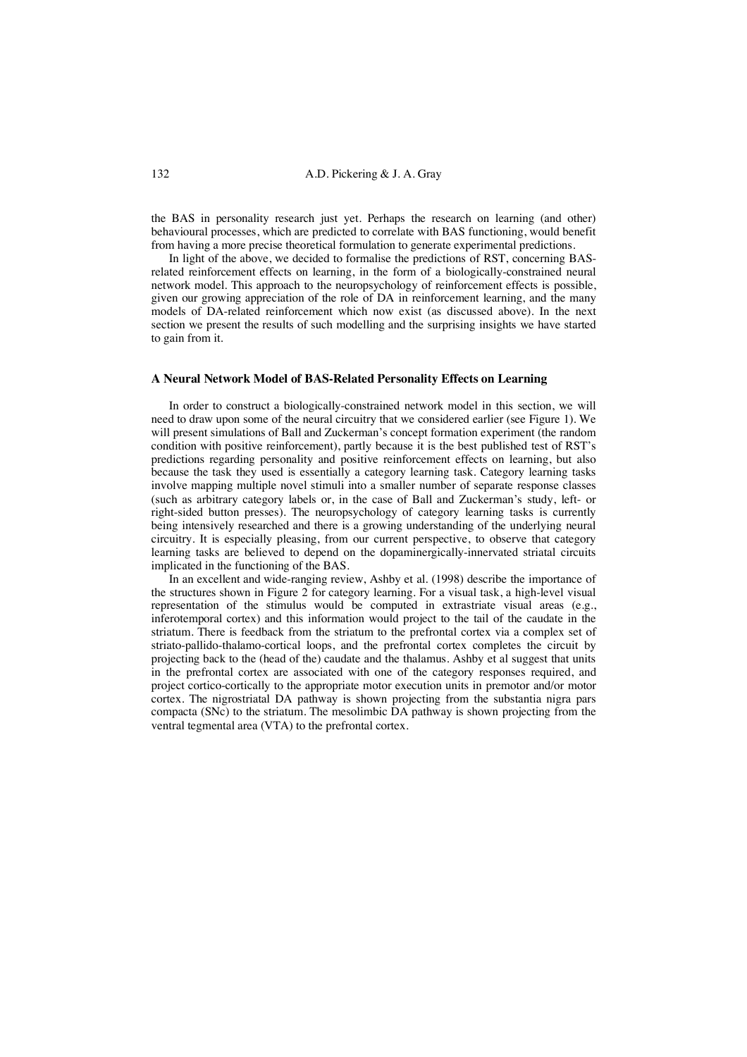the BAS in personality research just yet. Perhaps the research on learning (and other) behavioural processes, which are predicted to correlate with BAS functioning, would benefit from having a more precise theoretical formulation to generate experimental predictions.

In light of the above, we decided to formalise the predictions of RST, concerning BASrelated reinforcement effects on learning, in the form of a biologically-constrained neural network model. This approach to the neuropsychology of reinforcement effects is possible, given our growing appreciation of the role of DA in reinforcement learning, and the many models of DA-related reinforcement which now exist (as discussed above). In the next section we present the results of such modelling and the surprising insights we have started to gain from it.

## **A Neural Network Model of BAS-Related Personality Effects on Learning**

In order to construct a biologically-constrained network model in this section, we will need to draw upon some of the neural circuitry that we considered earlier (see Figure 1). We will present simulations of Ball and Zuckerman's concept formation experiment (the random condition with positive reinforcement), partly because it is the best published test of RST's predictions regarding personality and positive reinforcement effects on learning, but also because the task they used is essentially a category learning task. Category learning tasks involve mapping multiple novel stimuli into a smaller number of separate response classes (such as arbitrary category labels or, in the case of Ball and Zuckerman's study, left- or right-sided button presses). The neuropsychology of category learning tasks is currently being intensively researched and there is a growing understanding of the underlying neural circuitry. It is especially pleasing, from our current perspective, to observe that category learning tasks are believed to depend on the dopaminergically-innervated striatal circuits implicated in the functioning of the BAS.

In an excellent and wide-ranging review, Ashby et al. (1998) describe the importance of the structures shown in Figure 2 for category learning. For a visual task, a high-level visual representation of the stimulus would be computed in extrastriate visual areas (e.g., inferotemporal cortex) and this information would project to the tail of the caudate in the striatum. There is feedback from the striatum to the prefrontal cortex via a complex set of striato-pallido-thalamo-cortical loops, and the prefrontal cortex completes the circuit by projecting back to the (head of the) caudate and the thalamus. Ashby et al suggest that units in the prefrontal cortex are associated with one of the category responses required, and project cortico-cortically to the appropriate motor execution units in premotor and/or motor cortex. The nigrostriatal DA pathway is shown projecting from the substantia nigra pars compacta (SNc) to the striatum. The mesolimbic DA pathway is shown projecting from the ventral tegmental area (VTA) to the prefrontal cortex.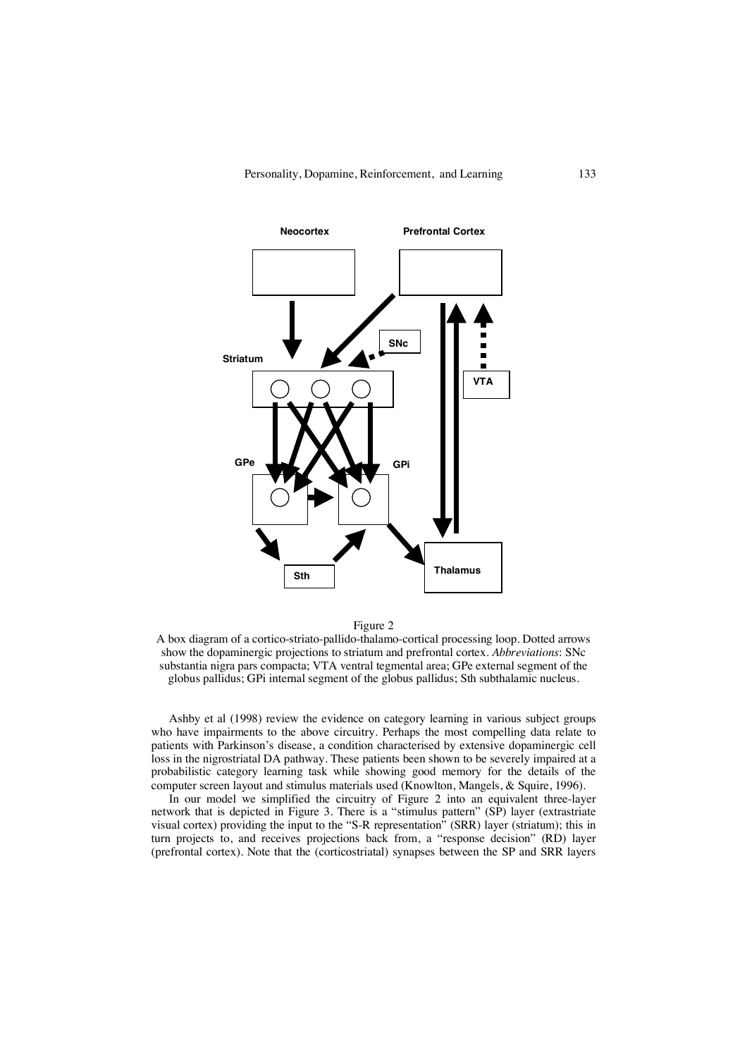

Figure 2

A box diagram of a cortico-striato-pallido-thalamo-cortical processing loop. Dotted arrows show the dopaminergic projections to striatum and prefrontal cortex. *Abbreviations*: SNc substantia nigra pars compacta; VTA ventral tegmental area; GPe external segment of the globus pallidus; GPi internal segment of the globus pallidus; Sth subthalamic nucleus.

Ashby et al (1998) review the evidence on category learning in various subject groups who have impairments to the above circuitry. Perhaps the most compelling data relate to patients with Parkinson's disease, a condition characterised by extensive dopaminergic cell loss in the nigrostriatal DA pathway. These patients been shown to be severely impaired at a probabilistic category learning task while showing good memory for the details of the computer screen layout and stimulus materials used (Knowlton, Mangels, & Squire, 1996).

In our model we simplified the circuitry of Figure 2 into an equivalent three-layer network that is depicted in Figure 3. There is a "stimulus pattern" (SP) layer (extrastriate visual cortex) providing the input to the "S-R representation" (SRR) layer (striatum); this in turn projects to, and receives projections back from, a "response decision" (RD) layer (prefrontal cortex). Note that the (corticostriatal) synapses between the SP and SRR layers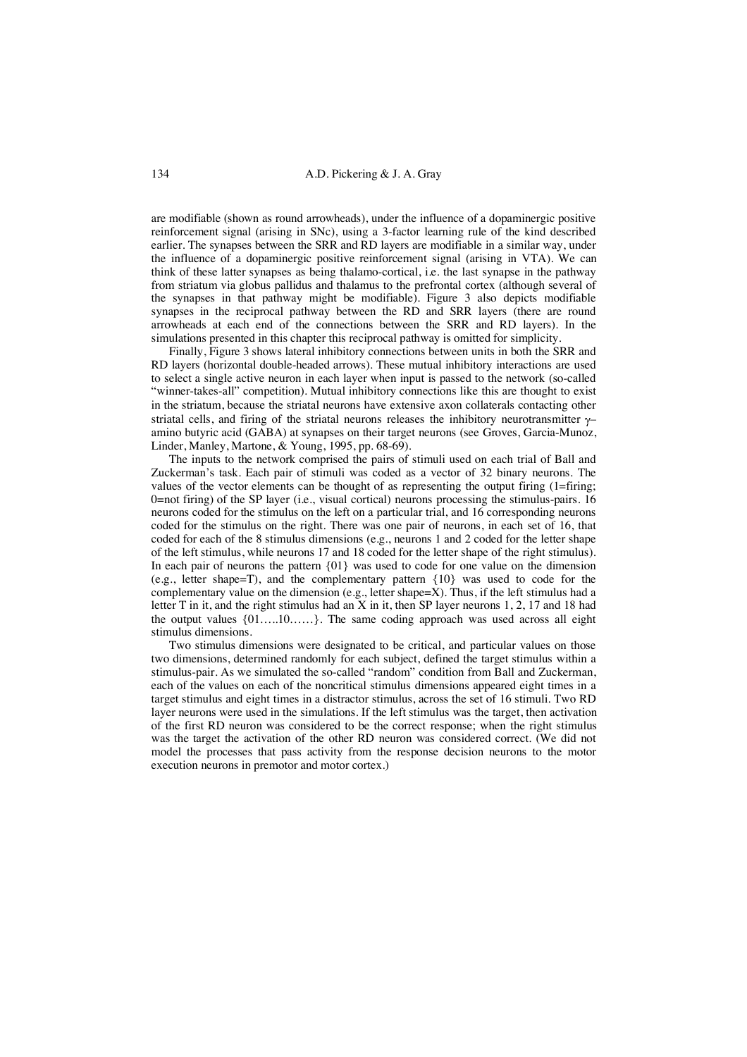are modifiable (shown as round arrowheads), under the influence of a dopaminergic positive reinforcement signal (arising in SNc), using a 3-factor learning rule of the kind described earlier. The synapses between the SRR and RD layers are modifiable in a similar way, under the influence of a dopaminergic positive reinforcement signal (arising in VTA). We can think of these latter synapses as being thalamo-cortical, i.e. the last synapse in the pathway from striatum via globus pallidus and thalamus to the prefrontal cortex (although several of the synapses in that pathway might be modifiable). Figure 3 also depicts modifiable synapses in the reciprocal pathway between the RD and SRR layers (there are round arrowheads at each end of the connections between the SRR and RD layers). In the simulations presented in this chapter this reciprocal pathway is omitted for simplicity.

Finally, Figure 3 shows lateral inhibitory connections between units in both the SRR and RD layers (horizontal double-headed arrows). These mutual inhibitory interactions are used to select a single active neuron in each layer when input is passed to the network (so-called "winner-takes-all" competition). Mutual inhibitory connections like this are thought to exist in the striatum, because the striatal neurons have extensive axon collaterals contacting other striatal cells, and firing of the striatal neurons releases the inhibitory neurotransmitter  $\gamma$ amino butyric acid (GABA) at synapses on their target neurons (see Groves, Garcia-Munoz, Linder, Manley, Martone, & Young, 1995, pp. 68-69).

The inputs to the network comprised the pairs of stimuli used on each trial of Ball and Zuckerman's task. Each pair of stimuli was coded as a vector of 32 binary neurons. The values of the vector elements can be thought of as representing the output firing (1=firing; 0=not firing) of the SP layer (i.e., visual cortical) neurons processing the stimulus-pairs. 16 neurons coded for the stimulus on the left on a particular trial, and 16 corresponding neurons coded for the stimulus on the right. There was one pair of neurons, in each set of 16, that coded for each of the 8 stimulus dimensions (e.g., neurons 1 and 2 coded for the letter shape of the left stimulus, while neurons 17 and 18 coded for the letter shape of the right stimulus). In each pair of neurons the pattern {01} was used to code for one value on the dimension (e.g., letter shape=T), and the complementary pattern {10} was used to code for the complementary value on the dimension (e.g., letter shape=X). Thus, if the left stimulus had a letter T in it, and the right stimulus had an X in it, then SP layer neurons  $1, 2, 17$  and 18 had the output values {01…..10……}. The same coding approach was used across all eight stimulus dimensions.

Two stimulus dimensions were designated to be critical, and particular values on those two dimensions, determined randomly for each subject, defined the target stimulus within a stimulus-pair. As we simulated the so-called "random" condition from Ball and Zuckerman, each of the values on each of the noncritical stimulus dimensions appeared eight times in a target stimulus and eight times in a distractor stimulus, across the set of 16 stimuli. Two RD layer neurons were used in the simulations. If the left stimulus was the target, then activation of the first RD neuron was considered to be the correct response; when the right stimulus was the target the activation of the other RD neuron was considered correct. (We did not model the processes that pass activity from the response decision neurons to the motor execution neurons in premotor and motor cortex.)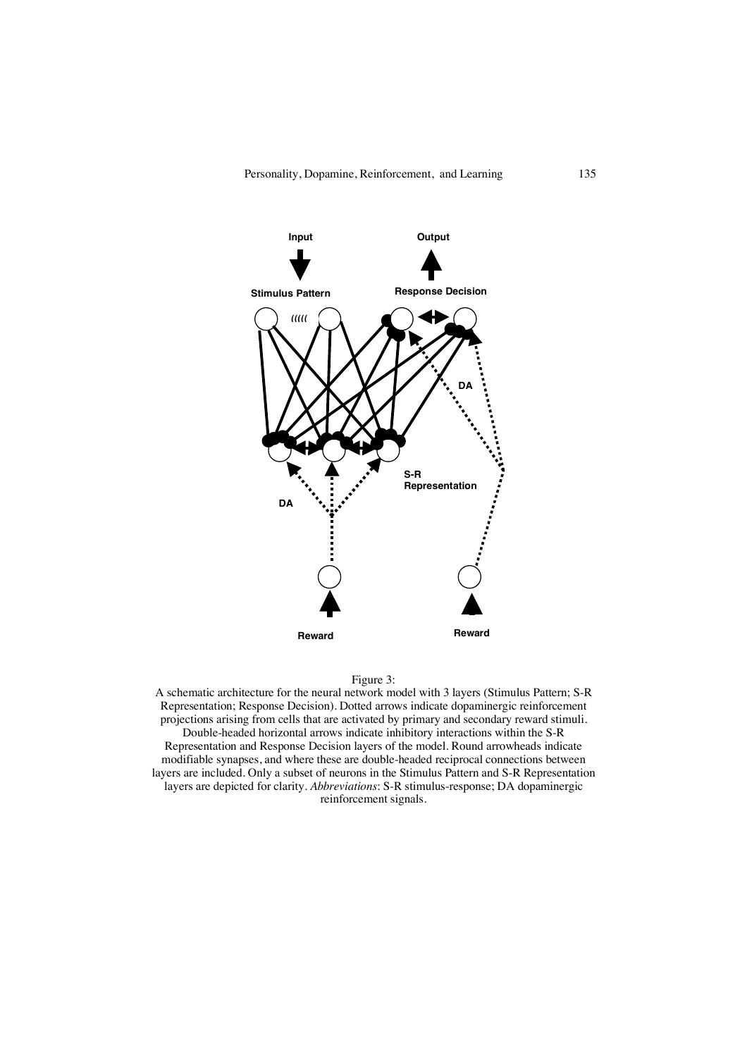



A schematic architecture for the neural network model with 3 layers (Stimulus Pattern; S-R Representation; Response Decision). Dotted arrows indicate dopaminergic reinforcement projections arising from cells that are activated by primary and secondary reward stimuli. Double-headed horizontal arrows indicate inhibitory interactions within the S-R Representation and Response Decision layers of the model. Round arrowheads indicate modifiable synapses, and where these are double-headed reciprocal connections between layers are included. Only a subset of neurons in the Stimulus Pattern and S-R Representation layers are depicted for clarity. *Abbreviations*: S-R stimulus-response; DA dopaminergic reinforcement signals.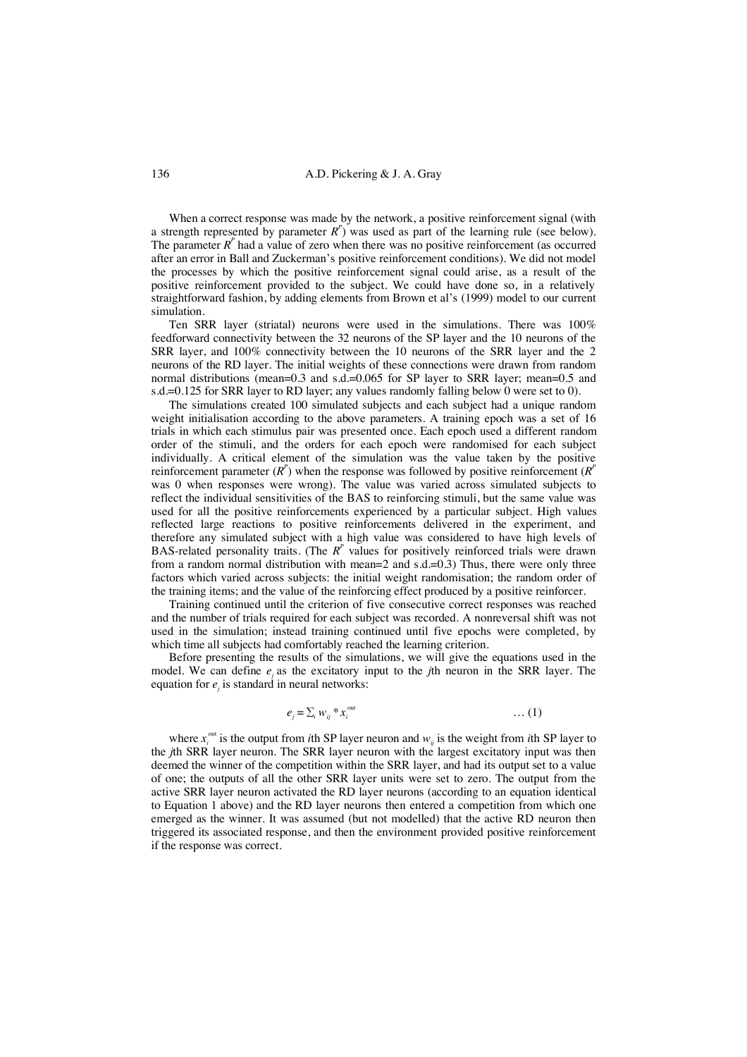When a correct response was made by the network, a positive reinforcement signal (with a strength represented by parameter  $R^p$ ) was used as part of the learning rule (see below). The parameter  $R<sup>p</sup>$  had a value of zero when there was no positive reinforcement (as occurred after an error in Ball and Zuckerman's positive reinforcement conditions). We did not model the processes by which the positive reinforcement signal could arise, as a result of the positive reinforcement provided to the subject. We could have done so, in a relatively straightforward fashion, by adding elements from Brown et al's (1999) model to our current simulation.

Ten SRR layer (striatal) neurons were used in the simulations. There was 100% feedforward connectivity between the 32 neurons of the SP layer and the 10 neurons of the SRR layer, and 100% connectivity between the 10 neurons of the SRR layer and the 2 neurons of the RD layer. The initial weights of these connections were drawn from random normal distributions (mean=0.3 and s.d.=0.065 for SP layer to SRR layer; mean=0.5 and s.d.=0.125 for SRR layer to RD layer; any values randomly falling below 0 were set to 0).

The simulations created 100 simulated subjects and each subject had a unique random weight initialisation according to the above parameters. A training epoch was a set of 16 trials in which each stimulus pair was presented once. Each epoch used a different random order of the stimuli, and the orders for each epoch were randomised for each subject individually. A critical element of the simulation was the value taken by the positive reinforcement parameter  $(R^p)$  when the response was followed by positive reinforcement  $(R^p)$ was 0 when responses were wrong). The value was varied across simulated subjects to reflect the individual sensitivities of the BAS to reinforcing stimuli, but the same value was used for all the positive reinforcements experienced by a particular subject. High values reflected large reactions to positive reinforcements delivered in the experiment, and therefore any simulated subject with a high value was considered to have high levels of BAS-related personality traits. (The  $R^p$  values for positively reinforced trials were drawn from a random normal distribution with mean=2 and  $s.d.=0.3$ ) Thus, there were only three factors which varied across subjects: the initial weight randomisation; the random order of the training items; and the value of the reinforcing effect produced by a positive reinforcer.

Training continued until the criterion of five consecutive correct responses was reached and the number of trials required for each subject was recorded. A nonreversal shift was not used in the simulation; instead training continued until five epochs were completed, by which time all subjects had comfortably reached the learning criterion.

Before presenting the results of the simulations, we will give the equations used in the model. We can define *ej* as the excitatory input to the *j*th neuron in the SRR layer. The equation for  $e_j$  is standard in neural networks:

$$
e_j = \sum_i w_{ij}^* x_i^{\text{out}} \qquad \qquad \dots (1)
$$

where  $x_i^{\text{out}}$  is the output from *i*th SP layer neuron and  $w_{ij}$  is the weight from *i*th SP layer to the *j*th SRR layer neuron. The SRR layer neuron with the largest excitatory input was then deemed the winner of the competition within the SRR layer, and had its output set to a value of one; the outputs of all the other SRR layer units were set to zero. The output from the active SRR layer neuron activated the RD layer neurons (according to an equation identical to Equation 1 above) and the RD layer neurons then entered a competition from which one emerged as the winner. It was assumed (but not modelled) that the active RD neuron then triggered its associated response, and then the environment provided positive reinforcement if the response was correct.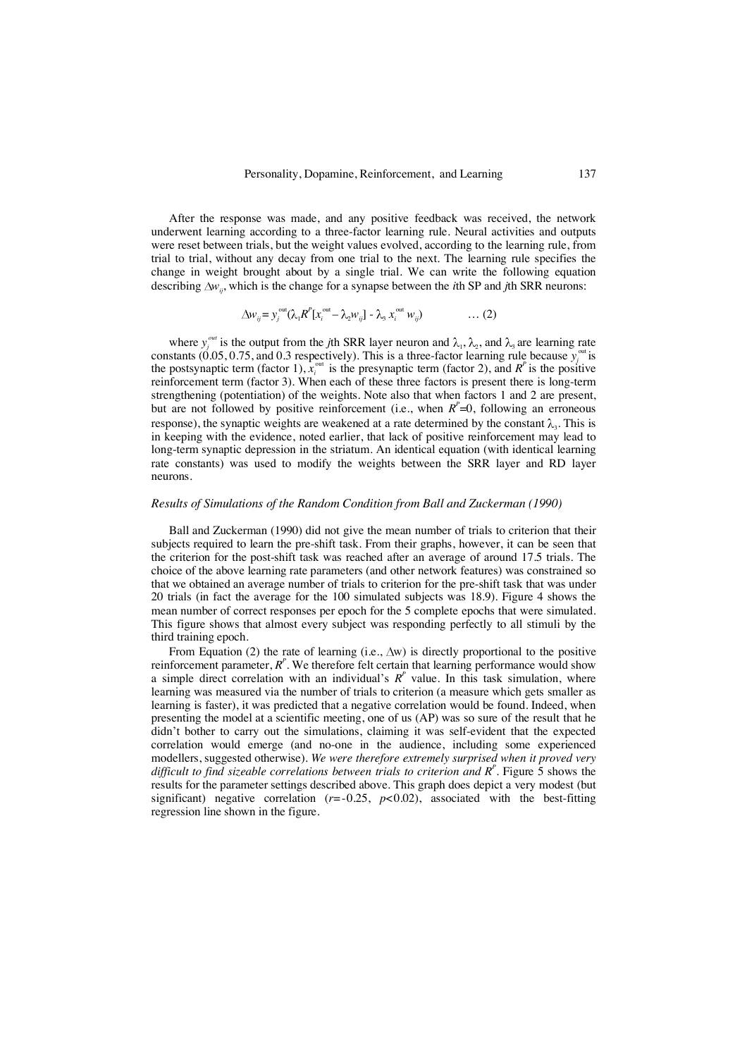After the response was made, and any positive feedback was received, the network underwent learning according to a three-factor learning rule. Neural activities and outputs were reset between trials, but the weight values evolved, according to the learning rule, from trial to trial, without any decay from one trial to the next. The learning rule specifies the change in weight brought about by a single trial. We can write the following equation describing  $\Delta w_i$ , which is the change for a synapse between the *i*th SP and *j*th SRR neurons:

$$
\Delta w_{ij} = y_j^{\text{out}} (\lambda_1 R^P [x_i^{\text{out}} - \lambda_2 w_{ij}] - \lambda_3 x_i^{\text{out}} w_{ij}) \qquad \qquad \dots (2)
$$

where  $y_j^{out}$  is the output from the *j*th SRR layer neuron and  $\lambda_1$ ,  $\lambda_2$ , and  $\lambda_3$  are learning rate constants (0.05, 0.75, and 0.3 respectively). This is a three-factor learning rule because  $y_j^{\text{out}}$  is the postsynaptic term (factor 1),  $x_i^{\text{out}}$  is the presynaptic term (factor 2), and  $R^p$  is the positive reinforcement term (factor 3). When each of these three factors is present there is long-term strengthening (potentiation) of the weights. Note also that when factors 1 and 2 are present, but are not followed by positive reinforcement (i.e., when  $R^P=0$ , following an erroneous response), the synaptic weights are weakened at a rate determined by the constant  $\lambda_{\alpha}$ . This is in keeping with the evidence, noted earlier, that lack of positive reinforcement may lead to long-term synaptic depression in the striatum. An identical equation (with identical learning rate constants) was used to modify the weights between the SRR layer and RD layer neurons.

## *Results of Simulations of the Random Condition from Ball and Zuckerman (1990)*

Ball and Zuckerman (1990) did not give the mean number of trials to criterion that their subjects required to learn the pre-shift task. From their graphs, however, it can be seen that the criterion for the post-shift task was reached after an average of around 17.5 trials. The choice of the above learning rate parameters (and other network features) was constrained so that we obtained an average number of trials to criterion for the pre-shift task that was under 20 trials (in fact the average for the 100 simulated subjects was 18.9). Figure 4 shows the mean number of correct responses per epoch for the 5 complete epochs that were simulated. This figure shows that almost every subject was responding perfectly to all stimuli by the third training epoch.

From Equation (2) the rate of learning (i.e.,  $\Delta w$ ) is directly proportional to the positive reinforcement parameter,  $R^P$ . We therefore felt certain that learning performance would show a simple direct correlation with an individual's  $R^p$  value. In this task simulation, where learning was measured via the number of trials to criterion (a measure which gets smaller as learning is faster), it was predicted that a negative correlation would be found. Indeed, when presenting the model at a scientific meeting, one of us (AP) was so sure of the result that he didn't bother to carry out the simulations, claiming it was self-evident that the expected correlation would emerge (and no-one in the audience, including some experienced modellers, suggested otherwise). *We were therefore extremely surprised when it proved very* difficult to find sizeable correlations between trials to criterion and R<sup>P</sup>. Figure 5 shows the results for the parameter settings described above. This graph does depict a very modest (but significant) negative correlation  $(r=0.25, p<0.02)$ , associated with the best-fitting regression line shown in the figure.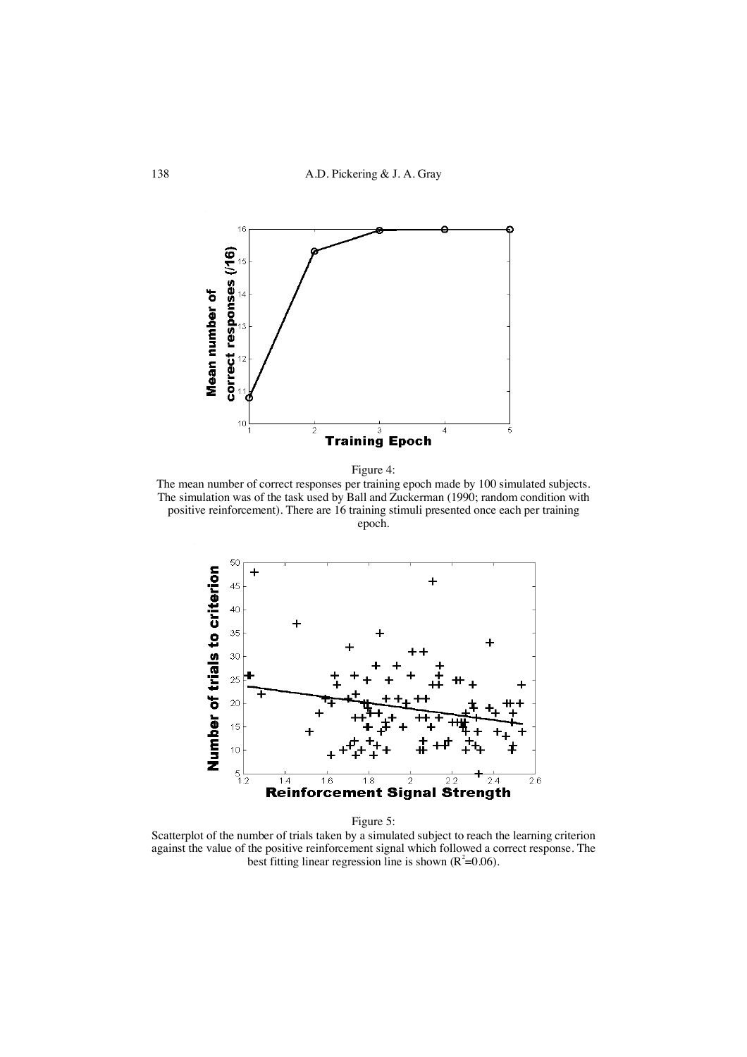

Figure 4:

The mean number of correct responses per training epoch made by 100 simulated subjects. The simulation was of the task used by Ball and Zuckerman (1990; random condition with positive reinforcement). There are 16 training stimuli presented once each per training epoch.



Figure 5:

Scatterplot of the number of trials taken by a simulated subject to reach the learning criterion against the value of the positive reinforcement signal which followed a correct response. The best fitting linear regression line is shown  $(R^2=0.06)$ .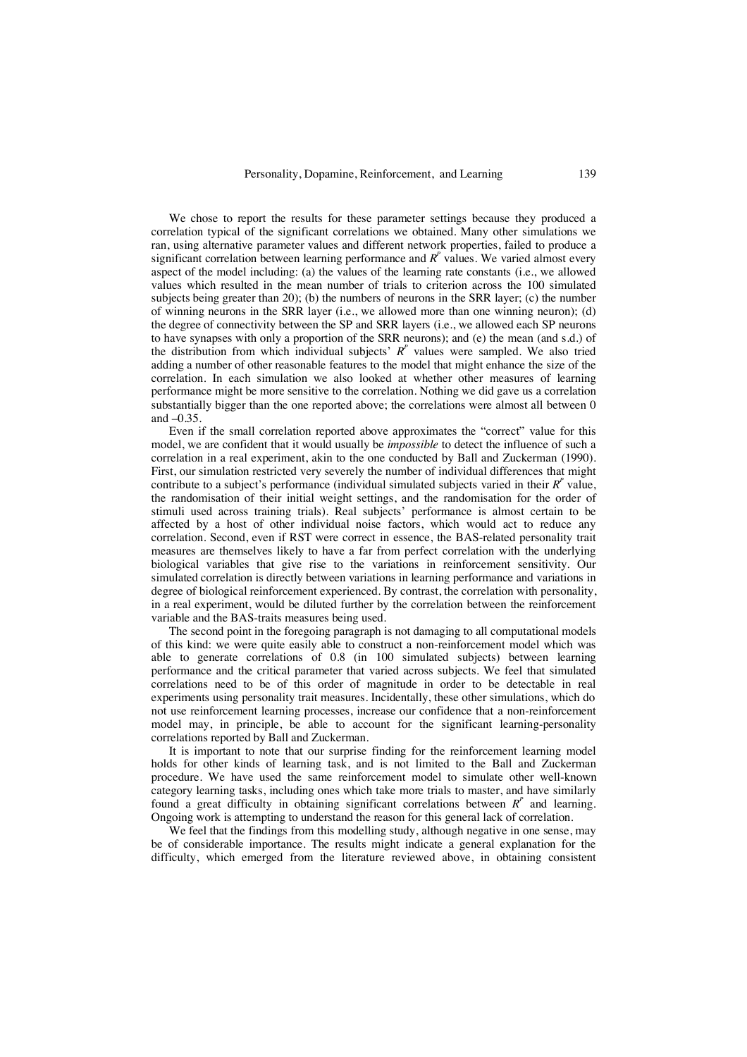We chose to report the results for these parameter settings because they produced a correlation typical of the significant correlations we obtained. Many other simulations we ran, using alternative parameter values and different network properties, failed to produce a significant correlation between learning performance and  $R^{\prime}$  values. We varied almost every aspect of the model including: (a) the values of the learning rate constants (i.e., we allowed values which resulted in the mean number of trials to criterion across the 100 simulated subjects being greater than 20); (b) the numbers of neurons in the SRR layer; (c) the number of winning neurons in the SRR layer (i.e., we allowed more than one winning neuron); (d) the degree of connectivity between the SP and SRR layers (i.e., we allowed each SP neurons to have synapses with only a proportion of the SRR neurons); and (e) the mean (and s.d.) of the distribution from which individual subjects'  $R^p$  values were sampled. We also tried adding a number of other reasonable features to the model that might enhance the size of the correlation. In each simulation we also looked at whether other measures of learning performance might be more sensitive to the correlation. Nothing we did gave us a correlation substantially bigger than the one reported above; the correlations were almost all between 0 and  $-0.35$ .

Even if the small correlation reported above approximates the "correct" value for this model, we are confident that it would usually be *impossible* to detect the influence of such a correlation in a real experiment, akin to the one conducted by Ball and Zuckerman (1990). First, our simulation restricted very severely the number of individual differences that might contribute to a subject's performance (individual simulated subjects varied in their  $R^p$  value, the randomisation of their initial weight settings, and the randomisation for the order of stimuli used across training trials). Real subjects' performance is almost certain to be affected by a host of other individual noise factors, which would act to reduce any correlation. Second, even if RST were correct in essence, the BAS-related personality trait measures are themselves likely to have a far from perfect correlation with the underlying biological variables that give rise to the variations in reinforcement sensitivity. Our simulated correlation is directly between variations in learning performance and variations in degree of biological reinforcement experienced. By contrast, the correlation with personality, in a real experiment, would be diluted further by the correlation between the reinforcement variable and the BAS-traits measures being used.

The second point in the foregoing paragraph is not damaging to all computational models of this kind: we were quite easily able to construct a non-reinforcement model which was able to generate correlations of 0.8 (in 100 simulated subjects) between learning performance and the critical parameter that varied across subjects. We feel that simulated correlations need to be of this order of magnitude in order to be detectable in real experiments using personality trait measures. Incidentally, these other simulations, which do not use reinforcement learning processes, increase our confidence that a non-reinforcement model may, in principle, be able to account for the significant learning-personality correlations reported by Ball and Zuckerman.

It is important to note that our surprise finding for the reinforcement learning model holds for other kinds of learning task, and is not limited to the Ball and Zuckerman procedure. We have used the same reinforcement model to simulate other well-known category learning tasks, including ones which take more trials to master, and have similarly found a great difficulty in obtaining significant correlations between  $R<sup>r</sup>$  and learning. Ongoing work is attempting to understand the reason for this general lack of correlation.

We feel that the findings from this modelling study, although negative in one sense, may be of considerable importance. The results might indicate a general explanation for the difficulty, which emerged from the literature reviewed above, in obtaining consistent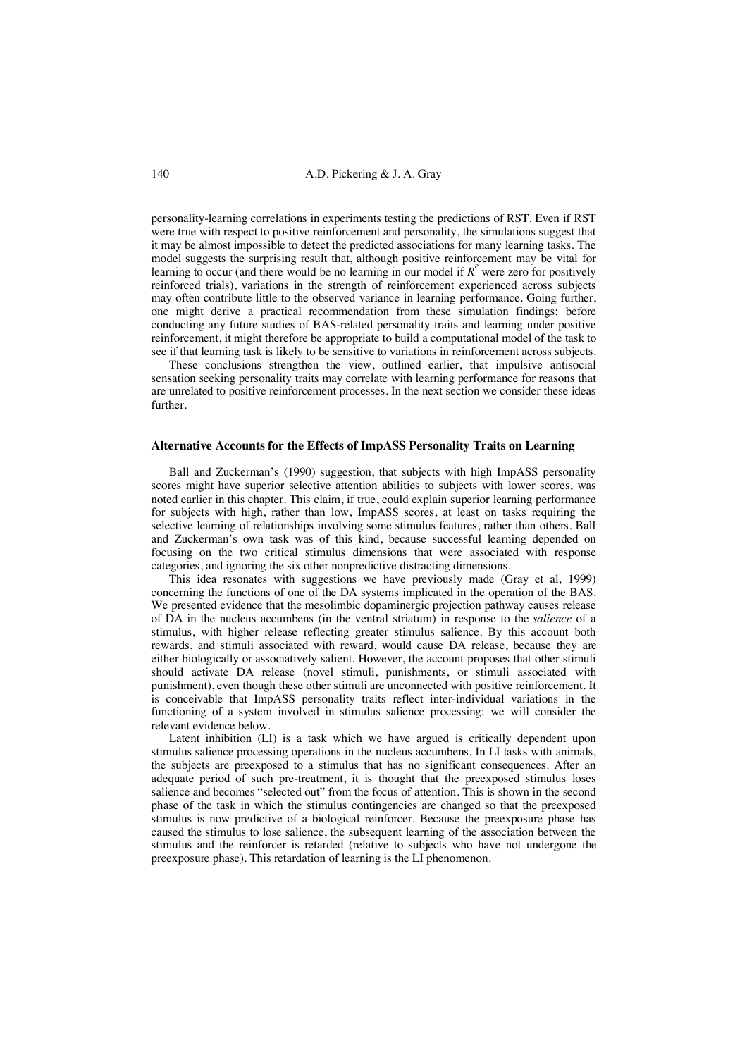personality-learning correlations in experiments testing the predictions of RST. Even if RST were true with respect to positive reinforcement and personality, the simulations suggest that it may be almost impossible to detect the predicted associations for many learning tasks. The model suggests the surprising result that, although positive reinforcement may be vital for learning to occur (and there would be no learning in our model if  $R^p$  were zero for positively reinforced trials), variations in the strength of reinforcement experienced across subjects may often contribute little to the observed variance in learning performance. Going further, one might derive a practical recommendation from these simulation findings: before conducting any future studies of BAS-related personality traits and learning under positive reinforcement, it might therefore be appropriate to build a computational model of the task to see if that learning task is likely to be sensitive to variations in reinforcement across subjects.

These conclusions strengthen the view, outlined earlier, that impulsive antisocial sensation seeking personality traits may correlate with learning performance for reasons that are unrelated to positive reinforcement processes. In the next section we consider these ideas further.

# **Alternative Accounts for the Effects of ImpASS Personality Traits on Learning**

Ball and Zuckerman's (1990) suggestion, that subjects with high ImpASS personality scores might have superior selective attention abilities to subjects with lower scores, was noted earlier in this chapter. This claim, if true, could explain superior learning performance for subjects with high, rather than low, ImpASS scores, at least on tasks requiring the selective learning of relationships involving some stimulus features, rather than others. Ball and Zuckerman's own task was of this kind, because successful learning depended on focusing on the two critical stimulus dimensions that were associated with response categories, and ignoring the six other nonpredictive distracting dimensions.

This idea resonates with suggestions we have previously made (Gray et al, 1999) concerning the functions of one of the DA systems implicated in the operation of the BAS. We presented evidence that the mesolimbic dopaminergic projection pathway causes release of DA in the nucleus accumbens (in the ventral striatum) in response to the *salience* of a stimulus, with higher release reflecting greater stimulus salience. By this account both rewards, and stimuli associated with reward, would cause DA release, because they are either biologically or associatively salient. However, the account proposes that other stimuli should activate DA release (novel stimuli, punishments, or stimuli associated with punishment), even though these other stimuli are unconnected with positive reinforcement. It is conceivable that ImpASS personality traits reflect inter-individual variations in the functioning of a system involved in stimulus salience processing: we will consider the relevant evidence below.

Latent inhibition (LI) is a task which we have argued is critically dependent upon stimulus salience processing operations in the nucleus accumbens. In LI tasks with animals, the subjects are preexposed to a stimulus that has no significant consequences. After an adequate period of such pre-treatment, it is thought that the preexposed stimulus loses salience and becomes "selected out" from the focus of attention. This is shown in the second phase of the task in which the stimulus contingencies are changed so that the preexposed stimulus is now predictive of a biological reinforcer. Because the preexposure phase has caused the stimulus to lose salience, the subsequent learning of the association between the stimulus and the reinforcer is retarded (relative to subjects who have not undergone the preexposure phase). This retardation of learning is the LI phenomenon.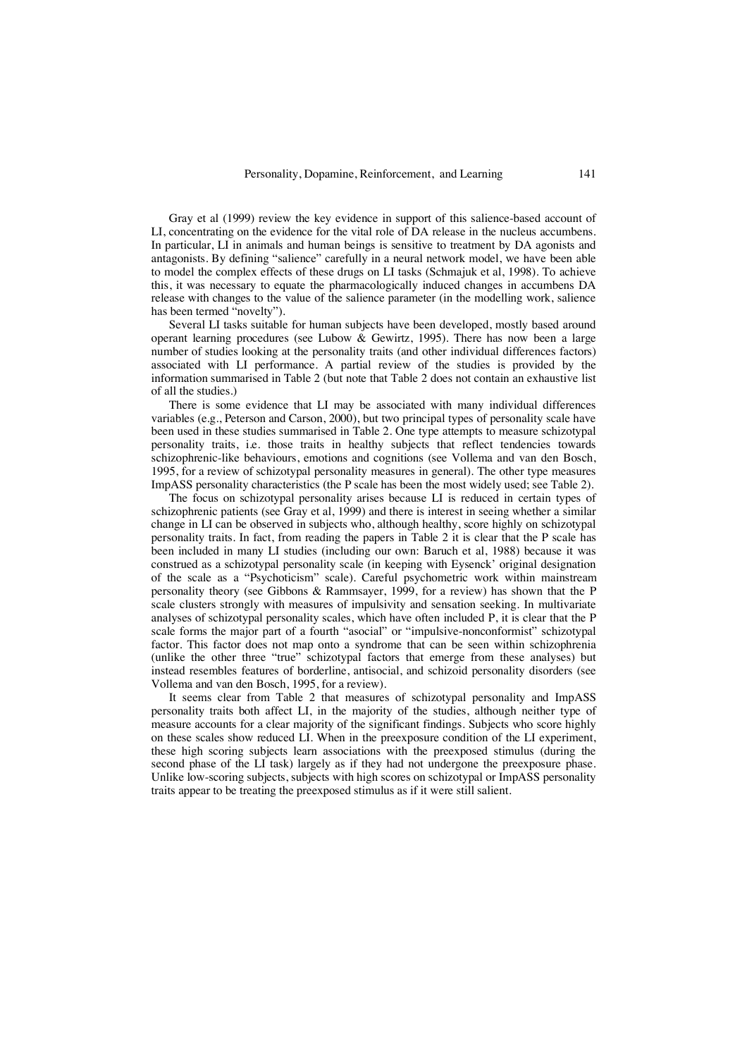Gray et al (1999) review the key evidence in support of this salience-based account of LI, concentrating on the evidence for the vital role of DA release in the nucleus accumbens. In particular, LI in animals and human beings is sensitive to treatment by DA agonists and antagonists. By defining "salience" carefully in a neural network model, we have been able to model the complex effects of these drugs on LI tasks (Schmajuk et al, 1998). To achieve this, it was necessary to equate the pharmacologically induced changes in accumbens DA release with changes to the value of the salience parameter (in the modelling work, salience has been termed "novelty").

Several LI tasks suitable for human subjects have been developed, mostly based around operant learning procedures (see Lubow  $\&$  Gewirtz, 1995). There has now been a large number of studies looking at the personality traits (and other individual differences factors) associated with LI performance. A partial review of the studies is provided by the information summarised in Table 2 (but note that Table 2 does not contain an exhaustive list of all the studies.)

There is some evidence that LI may be associated with many individual differences variables (e.g., Peterson and Carson, 2000), but two principal types of personality scale have been used in these studies summarised in Table 2. One type attempts to measure schizotypal personality traits, i.e. those traits in healthy subjects that reflect tendencies towards schizophrenic-like behaviours, emotions and cognitions (see Vollema and van den Bosch, 1995, for a review of schizotypal personality measures in general). The other type measures ImpASS personality characteristics (the P scale has been the most widely used; see Table 2).

The focus on schizotypal personality arises because LI is reduced in certain types of schizophrenic patients (see Gray et al, 1999) and there is interest in seeing whether a similar change in LI can be observed in subjects who, although healthy, score highly on schizotypal personality traits. In fact, from reading the papers in Table 2 it is clear that the P scale has been included in many LI studies (including our own: Baruch et al, 1988) because it was construed as a schizotypal personality scale (in keeping with Eysenck' original designation of the scale as a "Psychoticism" scale). Careful psychometric work within mainstream personality theory (see Gibbons & Rammsayer, 1999, for a review) has shown that the P scale clusters strongly with measures of impulsivity and sensation seeking. In multivariate analyses of schizotypal personality scales, which have often included P, it is clear that the P scale forms the major part of a fourth "asocial" or "impulsive-nonconformist" schizotypal factor. This factor does not map onto a syndrome that can be seen within schizophrenia (unlike the other three "true" schizotypal factors that emerge from these analyses) but instead resembles features of borderline, antisocial, and schizoid personality disorders (see Vollema and van den Bosch, 1995, for a review).

It seems clear from Table 2 that measures of schizotypal personality and ImpASS personality traits both affect LI, in the majority of the studies, although neither type of measure accounts for a clear majority of the significant findings. Subjects who score highly on these scales show reduced LI. When in the preexposure condition of the LI experiment, these high scoring subjects learn associations with the preexposed stimulus (during the second phase of the LI task) largely as if they had not undergone the preexposure phase. Unlike low-scoring subjects, subjects with high scores on schizotypal or ImpASS personality traits appear to be treating the preexposed stimulus as if it were still salient.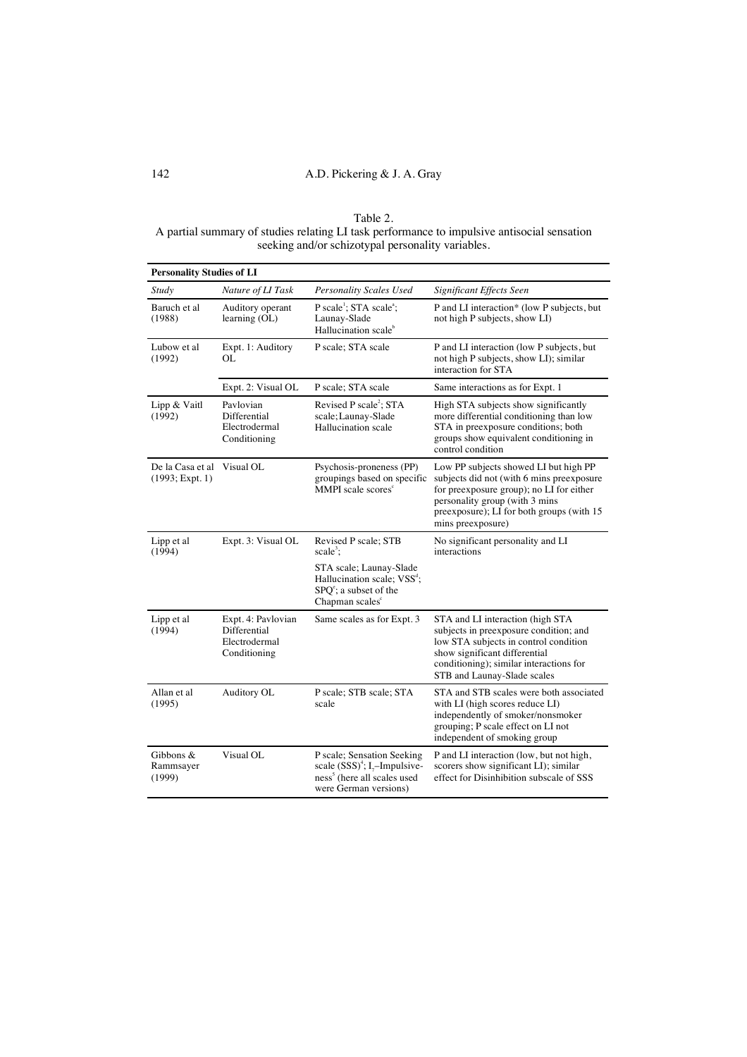Table 2. A partial summary of studies relating LI task performance to impulsive antisocial sensation seeking and/or schizotypal personality variables.

| <b>Personality Studies of LI</b>      |                                                                     |                                                                                                                                                |                                                                                                                                                                                                                                    |  |  |
|---------------------------------------|---------------------------------------------------------------------|------------------------------------------------------------------------------------------------------------------------------------------------|------------------------------------------------------------------------------------------------------------------------------------------------------------------------------------------------------------------------------------|--|--|
| Study                                 | Nature of LI Task                                                   | Personality Scales Used                                                                                                                        | <b>Significant Effects Seen</b>                                                                                                                                                                                                    |  |  |
| Baruch et al<br>(1988)                | Auditory operant<br>learning (OL)                                   | P scale <sup>1</sup> ; STA scale <sup>3</sup> ;<br>Launay-Slade<br>Hallucination scale <sup>b</sup>                                            | P and LI interaction* (low P subjects, but<br>not high P subjects, show LI)                                                                                                                                                        |  |  |
| Lubow et al<br>(1992)                 | Expt. 1: Auditory<br>OL                                             | P scale; STA scale                                                                                                                             | P and LI interaction (low P subjects, but<br>not high P subjects, show LI); similar<br>interaction for STA                                                                                                                         |  |  |
|                                       | Expt. 2: Visual OL                                                  | P scale; STA scale                                                                                                                             | Same interactions as for Expt. 1                                                                                                                                                                                                   |  |  |
| Lipp & Vaitl<br>(1992)                | Pavlovian<br>Differential<br>Electrodermal<br>Conditioning          | Revised P scale <sup>2</sup> ; STA<br>scale; Launay-Slade<br>Hallucination scale                                                               | High STA subjects show significantly<br>more differential conditioning than low<br>STA in preexposure conditions; both<br>groups show equivalent conditioning in<br>control condition                                              |  |  |
| De la Casa et al<br>$(1993;$ Expt. 1) | Visual OL                                                           | Psychosis-proneness (PP)<br>groupings based on specific<br>MMPI scale scores <sup>c</sup>                                                      | Low PP subjects showed LI but high PP<br>subjects did not (with 6 mins preexposure<br>for preexposure group); no LI for either<br>personality group (with 3 mins<br>preexposure); LI for both groups (with 15<br>mins preexposure) |  |  |
| Lipp et al<br>(1994)                  | Expt. 3: Visual OL                                                  | Revised P scale; STB<br>scale <sup>3</sup> :                                                                                                   | No significant personality and LI<br>interactions                                                                                                                                                                                  |  |  |
|                                       |                                                                     | STA scale; Launay-Slade<br>Hallucination scale; VSS <sup>d</sup> ;<br>$SPQc$ ; a subset of the<br>Chapman scales <sup>e</sup>                  |                                                                                                                                                                                                                                    |  |  |
| Lipp et al<br>(1994)                  | Expt. 4: Pavlovian<br>Differential<br>Electrodermal<br>Conditioning | Same scales as for Expt. 3                                                                                                                     | STA and LI interaction (high STA<br>subjects in preexposure condition; and<br>low STA subjects in control condition<br>show significant differential<br>conditioning); similar interactions for<br>STB and Launay-Slade scales     |  |  |
| Allan et al<br>(1995)                 | Auditory OL                                                         | P scale; STB scale; STA<br>scale                                                                                                               | STA and STB scales were both associated<br>with LI (high scores reduce LI)<br>independently of smoker/nonsmoker<br>grouping; P scale effect on LI not<br>independent of smoking group                                              |  |  |
| Gibbons &<br>Rammsayer<br>(1999)      | Visual OL                                                           | P scale; Sensation Seeking<br>scale $(SSS)^4$ ; I <sub>7</sub> -Impulsive-<br>ness <sup>5</sup> (here all scales used<br>were German versions) | P and LI interaction (low, but not high,<br>scorers show significant LI); similar<br>effect for Disinhibition subscale of SSS                                                                                                      |  |  |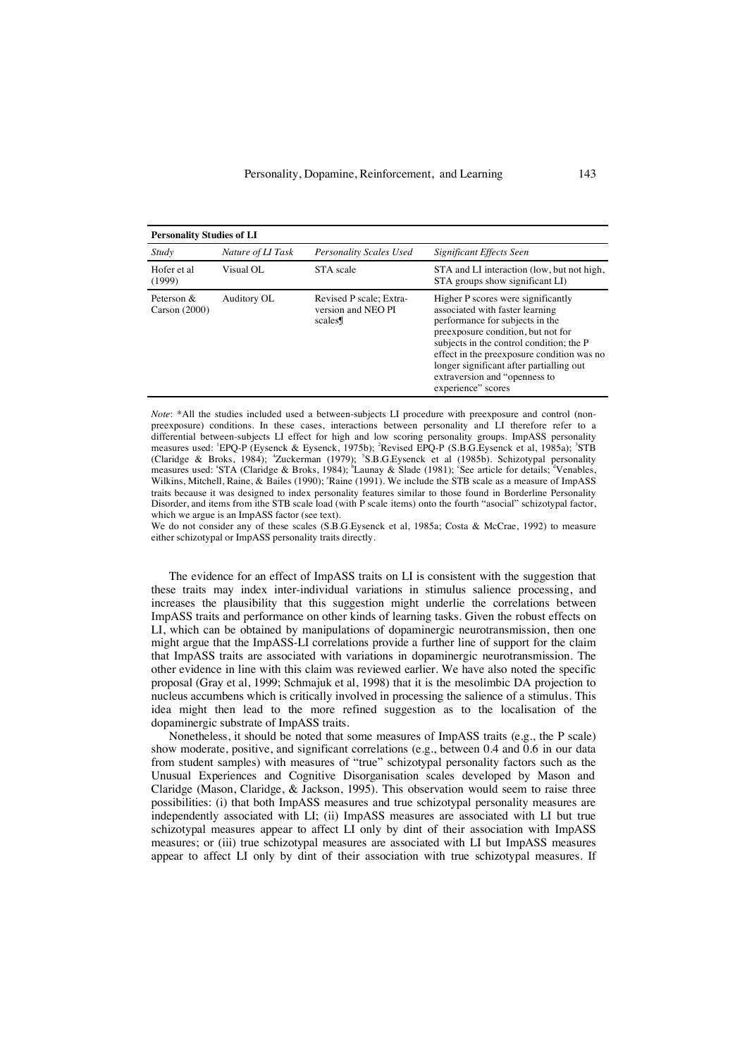| <b>Personality Studies of LI</b> |                   |                                                         |                                                                                                                                                                                                                                                                                                                                             |  |  |
|----------------------------------|-------------------|---------------------------------------------------------|---------------------------------------------------------------------------------------------------------------------------------------------------------------------------------------------------------------------------------------------------------------------------------------------------------------------------------------------|--|--|
| Study                            | Nature of LI Task | <b>Personality Scales Used</b>                          | Significant Effects Seen                                                                                                                                                                                                                                                                                                                    |  |  |
| Hofer et al<br>(1999)            | Visual OL         | STA scale                                               | STA and LI interaction (low, but not high,<br>STA groups show significant LI)                                                                                                                                                                                                                                                               |  |  |
| Peterson $\&$<br>Carson $(2000)$ | Auditory OL       | Revised P scale; Extra-<br>version and NEO PI<br>scales | Higher P scores were significantly<br>associated with faster learning<br>performance for subjects in the<br>preexposure condition, but not for<br>subjects in the control condition; the P<br>effect in the preexposure condition was no<br>longer significant after partialling out<br>extraversion and "openness to<br>experience" scores |  |  |

*Note*: \*All the studies included used a between-subjects LI procedure with preexposure and control (nonpreexposure) conditions. In these cases, interactions between personality and LI therefore refer to a differential between-subjects LI effect for high and low scoring personality groups. ImpASS personality<br>measures used: <sup>1</sup>EPQ-P (Eysenck & Eysenck, 1975b); <sup>2</sup>Revised EPQ-P (S.B.G.Eysenck et al, 1985a); <sup>3</sup>STB (Claridge & Broks, 1984); <sup>4</sup> Zuckerman (1979); <sup>5</sup> S.B.G.Eysenck et al (1985b). Schizotypal personality measures used: "STA (Claridge & Broks, 1984); "Launay & Slade (1981); "See article for details; "Venables, Wilkins, Mitchell, Raine, & Bailes (1990); 'Raine (1991). We include the STB scale as a measure of ImpASS traits because it was designed to index personality features similar to those found in Borderline Personality Disorder, and items from ithe STB scale load (with P scale items) onto the fourth "asocial" schizotypal factor, which we argue is an ImpASS factor (see text).

We do not consider any of these scales (S.B.G.Eysenck et al, 1985a; Costa & McCrae, 1992) to measure either schizotypal or ImpASS personality traits directly.

The evidence for an effect of ImpASS traits on LI is consistent with the suggestion that these traits may index inter-individual variations in stimulus salience processing, and increases the plausibility that this suggestion might underlie the correlations between ImpASS traits and performance on other kinds of learning tasks. Given the robust effects on LI, which can be obtained by manipulations of dopaminergic neurotransmission, then one might argue that the ImpASS-LI correlations provide a further line of support for the claim that ImpASS traits are associated with variations in dopaminergic neurotransmission. The other evidence in line with this claim was reviewed earlier. We have also noted the specific proposal (Gray et al, 1999; Schmajuk et al, 1998) that it is the mesolimbic DA projection to nucleus accumbens which is critically involved in processing the salience of a stimulus. This idea might then lead to the more refined suggestion as to the localisation of the dopaminergic substrate of ImpASS traits.

Nonetheless, it should be noted that some measures of ImpASS traits (e.g., the P scale) show moderate, positive, and significant correlations (e.g., between 0.4 and 0.6 in our data from student samples) with measures of "true" schizotypal personality factors such as the Unusual Experiences and Cognitive Disorganisation scales developed by Mason and Claridge (Mason, Claridge, & Jackson, 1995). This observation would seem to raise three possibilities: (i) that both ImpASS measures and true schizotypal personality measures are independently associated with LI; (ii) ImpASS measures are associated with LI but true schizotypal measures appear to affect LI only by dint of their association with ImpASS measures; or (iii) true schizotypal measures are associated with LI but ImpASS measures appear to affect LI only by dint of their association with true schizotypal measures. If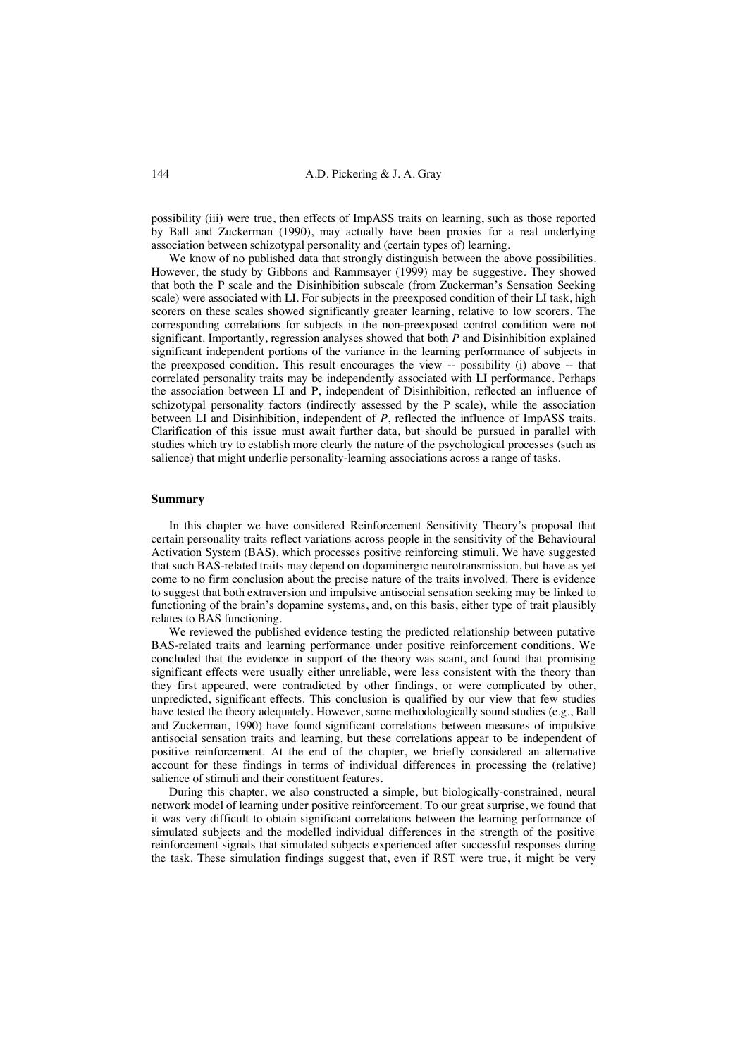possibility (iii) were true, then effects of ImpASS traits on learning, such as those reported by Ball and Zuckerman (1990), may actually have been proxies for a real underlying association between schizotypal personality and (certain types of) learning.

We know of no published data that strongly distinguish between the above possibilities. However, the study by Gibbons and Rammsayer (1999) may be suggestive. They showed that both the P scale and the Disinhibition subscale (from Zuckerman's Sensation Seeking scale) were associated with LI. For subjects in the preexposed condition of their LI task, high scorers on these scales showed significantly greater learning, relative to low scorers. The corresponding correlations for subjects in the non-preexposed control condition were not significant. Importantly, regression analyses showed that both *P* and Disinhibition explained significant independent portions of the variance in the learning performance of subjects in the preexposed condition. This result encourages the view -- possibility (i) above -- that correlated personality traits may be independently associated with LI performance. Perhaps the association between LI and P, independent of Disinhibition, reflected an influence of schizotypal personality factors (indirectly assessed by the P scale), while the association between LI and Disinhibition, independent of *P*, reflected the influence of ImpASS traits. Clarification of this issue must await further data, but should be pursued in parallel with studies which try to establish more clearly the nature of the psychological processes (such as salience) that might underlie personality-learning associations across a range of tasks.

## **Summary**

In this chapter we have considered Reinforcement Sensitivity Theory's proposal that certain personality traits reflect variations across people in the sensitivity of the Behavioural Activation System (BAS), which processes positive reinforcing stimuli. We have suggested that such BAS-related traits may depend on dopaminergic neurotransmission, but have as yet come to no firm conclusion about the precise nature of the traits involved. There is evidence to suggest that both extraversion and impulsive antisocial sensation seeking may be linked to functioning of the brain's dopamine systems, and, on this basis, either type of trait plausibly relates to BAS functioning.

We reviewed the published evidence testing the predicted relationship between putative BAS-related traits and learning performance under positive reinforcement conditions. We concluded that the evidence in support of the theory was scant, and found that promising significant effects were usually either unreliable, were less consistent with the theory than they first appeared, were contradicted by other findings, or were complicated by other, unpredicted, significant effects. This conclusion is qualified by our view that few studies have tested the theory adequately. However, some methodologically sound studies (e.g., Ball and Zuckerman, 1990) have found significant correlations between measures of impulsive antisocial sensation traits and learning, but these correlations appear to be independent of positive reinforcement. At the end of the chapter, we briefly considered an alternative account for these findings in terms of individual differences in processing the (relative) salience of stimuli and their constituent features.

During this chapter, we also constructed a simple, but biologically-constrained, neural network model of learning under positive reinforcement. To our great surprise, we found that it was very difficult to obtain significant correlations between the learning performance of simulated subjects and the modelled individual differences in the strength of the positive reinforcement signals that simulated subjects experienced after successful responses during the task. These simulation findings suggest that, even if RST were true, it might be very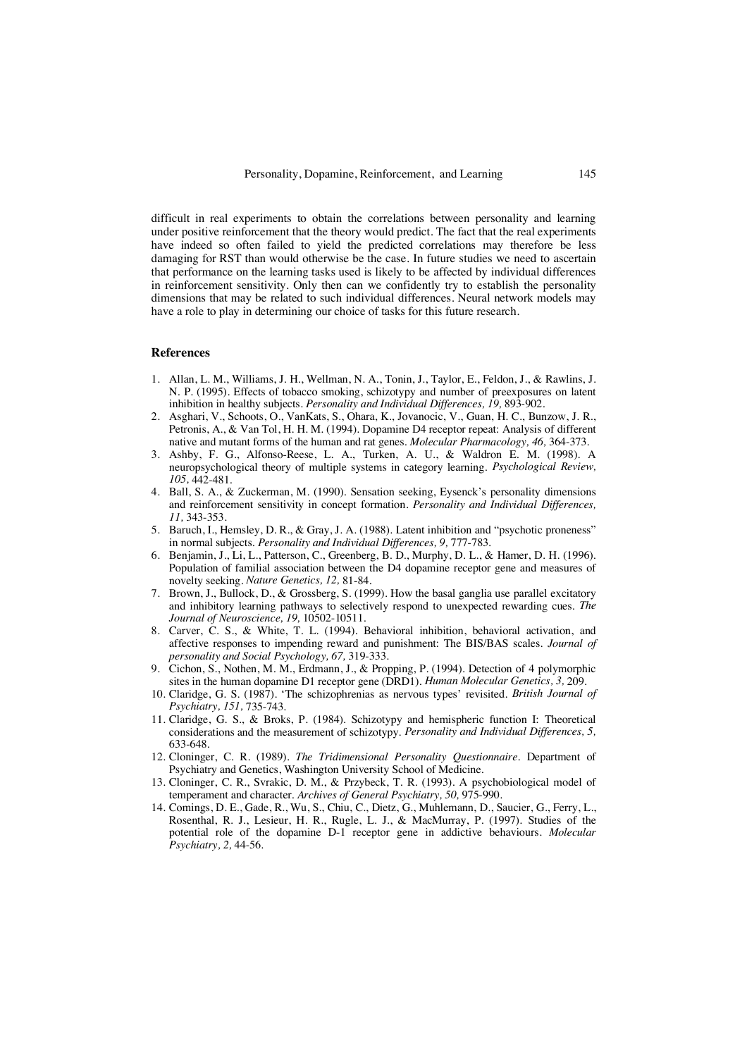difficult in real experiments to obtain the correlations between personality and learning under positive reinforcement that the theory would predict. The fact that the real experiments have indeed so often failed to yield the predicted correlations may therefore be less damaging for RST than would otherwise be the case. In future studies we need to ascertain that performance on the learning tasks used is likely to be affected by individual differences in reinforcement sensitivity. Only then can we confidently try to establish the personality dimensions that may be related to such individual differences. Neural network models may have a role to play in determining our choice of tasks for this future research.

#### **References**

- 1. Allan, L. M., Williams, J. H., Wellman, N. A., Tonin, J., Taylor, E., Feldon, J., & Rawlins, J. N. P. (1995). Effects of tobacco smoking, schizotypy and number of preexposures on latent inhibition in healthy subjects*. Personality and Individual Differences, 19,* 893-902.
- 2. Asghari, V., Schoots, O., VanKats, S., Ohara, K., Jovanocic, V., Guan, H. C., Bunzow, J. R., Petronis, A., & Van Tol, H. H. M. (1994). Dopamine D4 receptor repeat: Analysis of different native and mutant forms of the human and rat genes. *Molecular Pharmacology, 46,* 364-373.
- 3. Ashby, F. G., Alfonso-Reese, L. A., Turken, A. U., & Waldron E. M. (1998). A neuropsychological theory of multiple systems in category learning. *Psychological Review, 105,* 442-481.
- 4. Ball, S. A., & Zuckerman, M. (1990). Sensation seeking, Eysenck's personality dimensions and reinforcement sensitivity in concept formation*. Personality and Individual Differences, 11,* 343-353.
- 5. Baruch, I., Hemsley, D. R., & Gray, J. A. (1988). Latent inhibition and "psychotic proneness" in normal subjects. *Personality and Individual Differences, 9,* 777-783.
- 6. Benjamin, J., Li, L., Patterson, C., Greenberg, B. D., Murphy, D. L., & Hamer, D. H. (1996). Population of familial association between the D4 dopamine receptor gene and measures of novelty seeking. *Nature Genetics, 12,* 81-84.
- 7. Brown, J., Bullock, D., & Grossberg, S. (1999). How the basal ganglia use parallel excitatory and inhibitory learning pathways to selectively respond to unexpected rewarding cues. *The Journal of Neuroscience, 19,* 10502-10511.
- 8. Carver, C. S., & White, T. L. (1994). Behavioral inhibition, behavioral activation, and affective responses to impending reward and punishment: The BIS/BAS scales. *Journal of personality and Social Psychology, 67,* 319-333.
- 9. Cichon, S., Nothen, M. M., Erdmann, J., & Propping, P. (1994). Detection of 4 polymorphic sites in the human dopamine D1 receptor gene (DRD1). *Human Molecular Genetics, 3,* 209.
- 10. Claridge, G. S. (1987). 'The schizophrenias as nervous types' revisited. *British Journal of Psychiatry, 151,* 735-743.
- 11. Claridge, G. S., & Broks, P. (1984). Schizotypy and hemispheric function I: Theoretical considerations and the measurement of schizotypy. *Personality and Individual Differences, 5,* 633-648.
- 12. Cloninger, C. R. (1989). *The Tridimensional Personality Questionnaire.* Department of Psychiatry and Genetics, Washington University School of Medicine.
- 13. Cloninger, C. R., Svrakic, D. M., & Przybeck, T. R. (1993). A psychobiological model of temperament and character. *Archives of General Psychiatry, 50,* 975-990.
- 14. Comings, D. E., Gade, R., Wu, S., Chiu, C., Dietz, G., Muhlemann, D., Saucier, G., Ferry, L., Rosenthal, R. J., Lesieur, H. R., Rugle, L. J., & MacMurray, P. (1997). Studies of the potential role of the dopamine D-1 receptor gene in addictive behaviours. *Molecular Psychiatry, 2,* 44-56.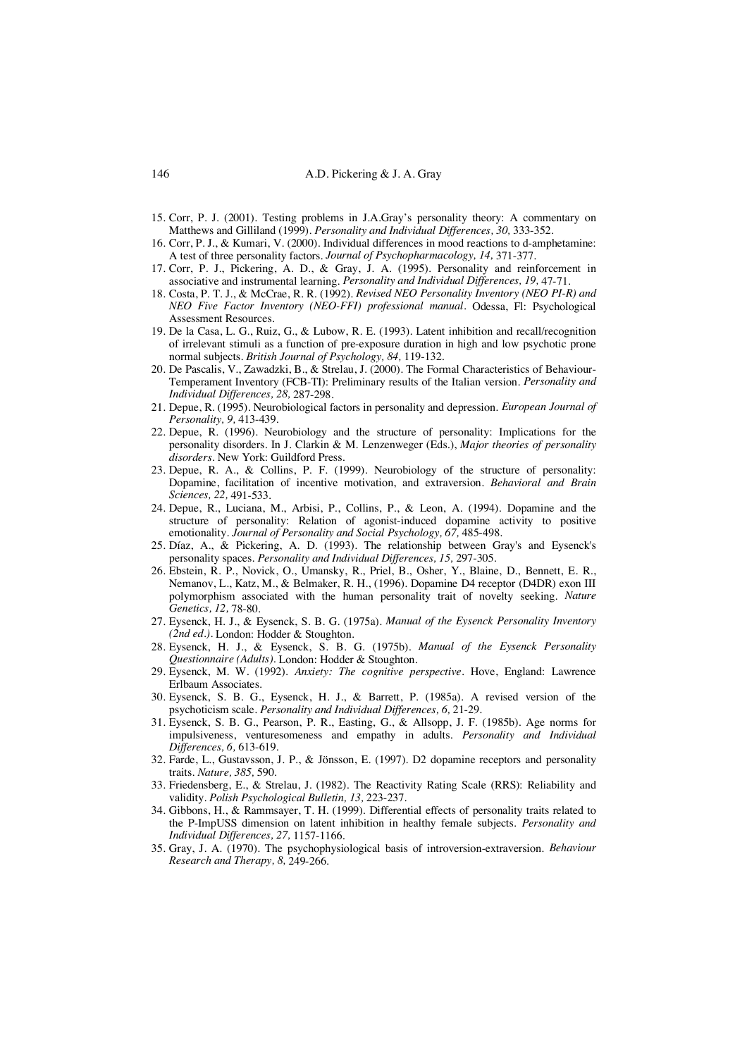- 15. Corr, P. J. (2001). Testing problems in J.A.Gray's personality theory: A commentary on Matthews and Gilliland (1999). *Personality and Individual Differences, 30,* 333-352.
- 16. Corr, P. J., & Kumari, V. (2000). Individual differences in mood reactions to d-amphetamine: A test of three personality factors. *Journal of Psychopharmacology, 14,* 371-377.
- 17. Corr, P. J., Pickering, A. D., & Gray, J. A. (1995). Personality and reinforcement in associative and instrumental learning. *Personality and Individual Differences, 19,* 47-71.
- 18. Costa, P. T. J., & McCrae, R. R. (1992). *Revised NEO Personality Inventory (NEO PI-R) and NEO Five Factor Inventory (NEO-FFI) professional manual.* Odessa, Fl: Psychological Assessment Resources.
- 19. De la Casa, L. G., Ruiz, G., & Lubow, R. E. (1993). Latent inhibition and recall/recognition of irrelevant stimuli as a function of pre-exposure duration in high and low psychotic prone normal subjects. *British Journal of Psychology, 84,* 119-132.
- 20. De Pascalis, V., Zawadzki, B., & Strelau, J. (2000). The Formal Characteristics of Behaviour-Temperament Inventory (FCB-TI): Preliminary results of the Italian version. *Personality and Individual Differences, 28,* 287-298.
- 21. Depue, R. (1995). Neurobiological factors in personality and depression. *European Journal of Personality, 9,* 413-439.
- 22. Depue, R. (1996). Neurobiology and the structure of personality: Implications for the personality disorders. In J. Clarkin & M. Lenzenweger (Eds.), *Major theories of personality disorders.* New York: Guildford Press.
- 23. Depue, R. A., & Collins, P. F. (1999). Neurobiology of the structure of personality: Dopamine, facilitation of incentive motivation, and extraversion. *Behavioral and Brain Sciences, 22,* 491-533.
- 24. Depue, R., Luciana, M., Arbisi, P., Collins, P., & Leon, A. (1994). Dopamine and the structure of personality: Relation of agonist-induced dopamine activity to positive emotionality. *Journal of Personality and Social Psychology, 67,* 485-498.
- 25. Díaz, A., & Pickering, A. D. (1993). The relationship between Gray's and Eysenck's personality spaces. *Personality and Individual Differences, 15,* 297-305.
- 26. Ebstein, R. P., Novick, O., Umansky, R., Priel, B., Osher, Y., Blaine, D., Bennett, E. R., Nemanov, L., Katz, M., & Belmaker, R. H., (1996). Dopamine D4 receptor (D4DR) exon III polymorphism associated with the human personality trait of novelty seeking. *Nature Genetics, 12,* 78-80.
- 27. Eysenck, H. J., & Eysenck, S. B. G. (1975a). *Manual of the Eysenck Personality Inventory (2nd ed.).* London: Hodder & Stoughton.
- 28. Eysenck, H. J., & Eysenck, S. B. G. (1975b). *Manual of the Eysenck Personality Questionnaire (Adults).* London: Hodder & Stoughton.
- 29. Eysenck, M. W. (1992). *Anxiety: The cognitive perspective.* Hove, England: Lawrence Erlbaum Associates.
- 30. Eysenck, S. B. G., Eysenck, H. J., & Barrett, P. (1985a). A revised version of the psychoticism scale. *Personality and Individual Differences, 6,* 21-29.
- 31. Eysenck, S. B. G., Pearson, P. R., Easting, G., & Allsopp, J. F. (1985b). Age norms for impulsiveness, venturesomeness and empathy in adults. *Personality and Individual Differences, 6,* 613-619.
- 32. Farde, L., Gustavsson, J. P., & Jönsson, E. (1997). D2 dopamine receptors and personality traits. *Nature, 385,* 590.
- 33. Friedensberg, E., & Strelau, J. (1982). The Reactivity Rating Scale (RRS): Reliability and validity. *Polish Psychological Bulletin, 13,* 223-237.
- 34. Gibbons, H., & Rammsayer, T. H. (1999). Differential effects of personality traits related to the P-ImpUSS dimension on latent inhibition in healthy female subjects. *Personality and Individual Differences, 27,* 1157-1166.
- 35. Gray, J. A. (1970). The psychophysiological basis of introversion-extraversion. *Behaviour Research and Therapy, 8,* 249-266.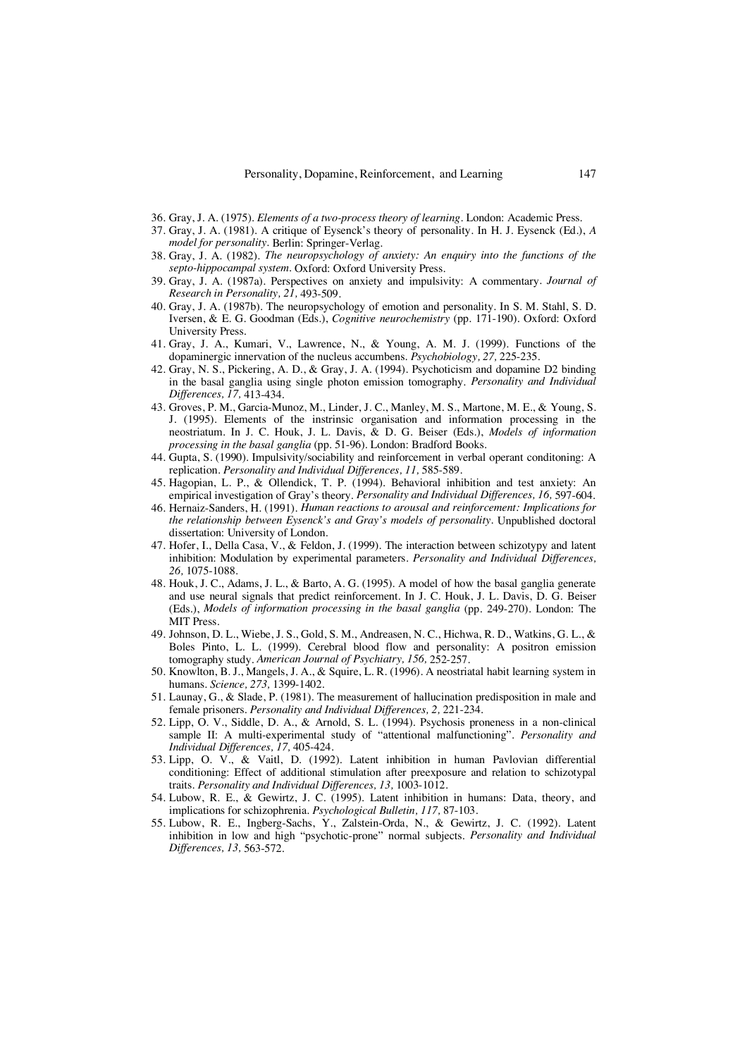- 36. Gray, J. A. (1975). *Elements of a two-process theory of learning.* London: Academic Press.
- 37. Gray, J. A. (1981). A critique of Eysenck's theory of personality. In H. J. Eysenck (Ed.), *A model for personality.* Berlin: Springer-Verlag.
- 38. Gray, J. A. (1982). *The neuropsychology of anxiety: An enquiry into the functions of the septo-hippocampal system.* Oxford: Oxford University Press.
- 39. Gray, J. A. (1987a). Perspectives on anxiety and impulsivity: A commentary*. Journal of Research in Personality, 21,* 493-509.
- 40. Gray, J. A. (1987b). The neuropsychology of emotion and personality. In S. M. Stahl, S. D. Iversen, & E. G. Goodman (Eds.), *Cognitive neurochemistry* (pp. 171-190). Oxford: Oxford University Press.
- 41. Gray, J. A., Kumari, V., Lawrence, N., & Young, A. M. J. (1999). Functions of the dopaminergic innervation of the nucleus accumbens. *Psychobiology, 27,* 225-235.
- 42. Gray, N. S., Pickering, A. D., & Gray, J. A. (1994). Psychoticism and dopamine D2 binding in the basal ganglia using single photon emission tomography. *Personality and Individual Differences, 17,* 413-434.
- 43. Groves, P. M., Garcia-Munoz, M., Linder, J. C., Manley, M. S., Martone, M. E., & Young, S. J. (1995). Elements of the instrinsic organisation and information processing in the neostriatum. In J. C. Houk, J. L. Davis, & D. G. Beiser (Eds.), *Models of information processing in the basal ganglia* (pp. 51-96). London: Bradford Books.
- 44. Gupta, S. (1990). Impulsivity/sociability and reinforcement in verbal operant conditoning: A replication. *Personality and Individual Differences, 11,* 585-589.
- 45. Hagopian, L. P., & Ollendick, T. P. (1994). Behavioral inhibition and test anxiety: An empirical investigation of Gray's theory. *Personality and Individual Differences, 16,* 597-604.
- 46. Hernaiz-Sanders, H. (1991). *Human reactions to arousal and reinforcement: Implications for the relationship between Eysenck's and Gray's models of personality.* Unpublished doctoral dissertation: University of London.
- 47. Hofer, I., Della Casa, V., & Feldon, J. (1999). The interaction between schizotypy and latent inhibition: Modulation by experimental parameters. *Personality and Individual Differences, 26,* 1075-1088.
- 48. Houk, J. C., Adams, J. L., & Barto, A. G. (1995). A model of how the basal ganglia generate and use neural signals that predict reinforcement. In J. C. Houk, J. L. Davis, D. G. Beiser (Eds.), *Models of information processing in the basal ganglia* (pp. 249-270). London: The MIT Press.
- 49. Johnson, D. L., Wiebe, J. S., Gold, S. M., Andreasen, N. C., Hichwa, R. D., Watkins, G. L., & Boles Pinto, L. L. (1999). Cerebral blood flow and personality: A positron emission tomography study. *American Journal of Psychiatry, 156,* 252-257.
- 50. Knowlton, B. J., Mangels, J. A., & Squire, L. R. (1996). A neostriatal habit learning system in humans. *Science, 273,* 1399-1402.
- 51. Launay, G., & Slade, P. (1981). The measurement of hallucination predisposition in male and female prisoners. *Personality and Individual Differences, 2,* 221-234.
- 52. Lipp, O. V., Siddle, D. A., & Arnold, S. L. (1994). Psychosis proneness in a non-clinical sample II: A multi-experimental study of "attentional malfunctioning". *Personality and Individual Differences, 17,* 405-424.
- 53. Lipp, O. V., & Vaitl, D. (1992). Latent inhibition in human Pavlovian differential conditioning: Effect of additional stimulation after preexposure and relation to schizotypal traits. *Personality and Individual Differences, 13,* 1003-1012.
- 54. Lubow, R. E., & Gewirtz, J. C. (1995). Latent inhibition in humans: Data, theory, and implications for schizophrenia. *Psychological Bulletin, 117,* 87-103.
- 55. Lubow, R. E., Ingberg-Sachs, Y., Zalstein-Orda, N., & Gewirtz, J. C. (1992). Latent inhibition in low and high "psychotic-prone" normal subjects. *Personality and Individual Differences, 13,* 563-572.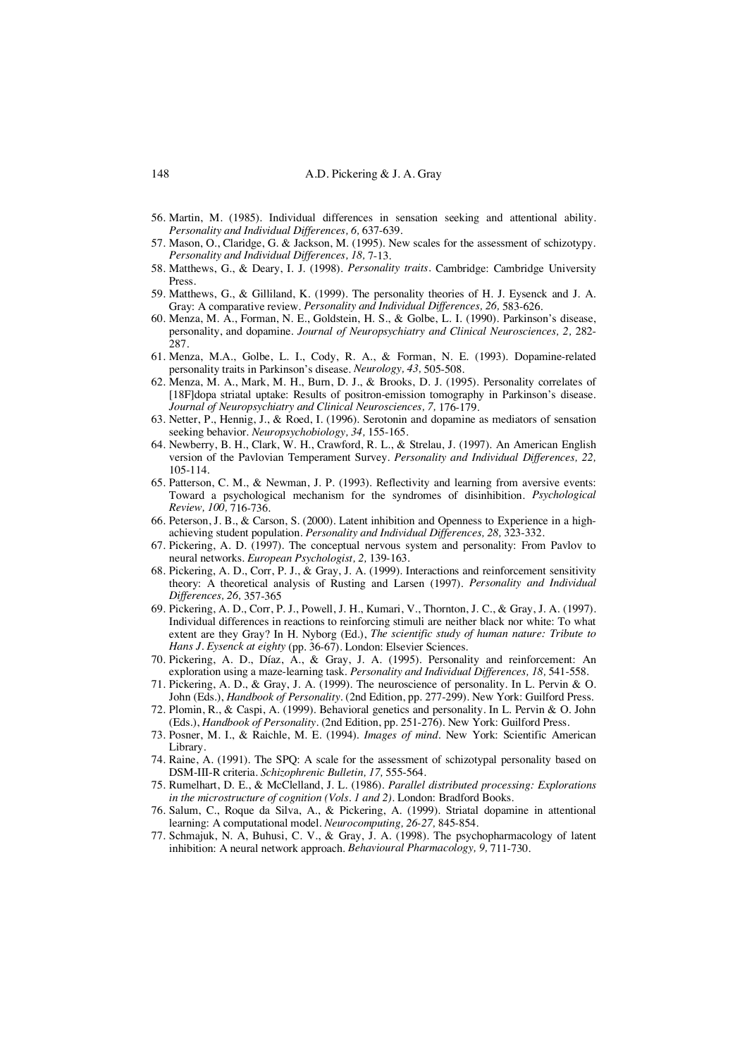- 56. Martin, M. (1985). Individual differences in sensation seeking and attentional ability. *Personality and Individual Differences, 6,* 637-639.
- 57. Mason, O., Claridge, G. & Jackson, M. (1995). New scales for the assessment of schizotypy. *Personality and Individual Differences, 18,* 7-13.
- 58. Matthews, G., & Deary, I. J. (1998). *Personality traits.* Cambridge: Cambridge University Press.
- 59. Matthews, G., & Gilliland, K. (1999). The personality theories of H. J. Eysenck and J. A. Gray: A comparative review. *Personality and Individual Differences, 26,* 583-626.
- 60. Menza, M. A., Forman, N. E., Goldstein, H. S., & Golbe, L. I. (1990). Parkinson's disease, personality, and dopamine. *Journal of Neuropsychiatry and Clinical Neurosciences, 2,* 282- 287.
- 61. Menza, M.A., Golbe, L. I., Cody, R. A., & Forman, N. E. (1993). Dopamine-related personality traits in Parkinson's disease. *Neurology, 43,* 505-508.
- 62. Menza, M. A., Mark, M. H., Burn, D. J., & Brooks, D. J. (1995). Personality correlates of [18F]dopa striatal uptake: Results of positron-emission tomography in Parkinson's disease. *Journal of Neuropsychiatry and Clinical Neurosciences, 7,* 176-179.
- 63. Netter, P., Hennig, J., & Roed, I. (1996). Serotonin and dopamine as mediators of sensation seeking behavior. *Neuropsychobiology, 34,* 155-165.
- 64. Newberry, B. H., Clark, W. H., Crawford, R. L., & Strelau, J. (1997). An American English version of the Pavlovian Temperament Survey. *Personality and Individual Differences, 22,* 105-114.
- 65. Patterson, C. M., & Newman, J. P. (1993). Reflectivity and learning from aversive events: Toward a psychological mechanism for the syndromes of disinhibition. *Psychological Review, 100,* 716-736.
- 66. Peterson, J. B., & Carson, S. (2000). Latent inhibition and Openness to Experience in a highachieving student population. *Personality and Individual Differences, 28,* 323-332.
- 67. Pickering, A. D. (1997). The conceptual nervous system and personality: From Pavlov to neural networks. *European Psychologist, 2,* 139-163.
- 68. Pickering, A. D., Corr, P. J., & Gray, J. A. (1999). Interactions and reinforcement sensitivity theory: A theoretical analysis of Rusting and Larsen (1997). *Personality and Individual Differences, 26,* 357-365
- 69. Pickering, A. D., Corr, P. J., Powell, J. H., Kumari, V., Thornton, J. C., & Gray, J. A. (1997). Individual differences in reactions to reinforcing stimuli are neither black nor white: To what extent are they Gray? In H. Nyborg (Ed.), *The scientific study of human nature: Tribute to Hans J. Eysenck at eighty* (pp. 36-67). London: Elsevier Sciences.
- 70. Pickering, A. D., Díaz, A., & Gray, J. A. (1995). Personality and reinforcement: An exploration using a maze-learning task. *Personality and Individual Differences, 18,* 541-558.
- 71. Pickering, A. D., & Gray, J. A. (1999). The neuroscience of personality. In L. Pervin & O. John (Eds.), *Handbook of Personality.* (2nd Edition, pp. 277-299). New York: Guilford Press.
- 72. Plomin, R., & Caspi, A. (1999). Behavioral genetics and personality. In L. Pervin & O. John (Eds.), *Handbook of Personality.* (2nd Edition, pp. 251-276). New York: Guilford Press.
- 73. Posner, M. I., & Raichle, M. E. (1994). *Images of mind.* New York: Scientific American Library.
- 74. Raine, A. (1991). The SPQ: A scale for the assessment of schizotypal personality based on DSM-III-R criteria. *Schizophrenic Bulletin, 17,* 555-564.
- 75. Rumelhart, D. E., & McClelland, J. L. (1986). *Parallel distributed processing: Explorations in the microstructure of cognition (Vols. 1 and 2).* London: Bradford Books.
- 76. Salum, C., Roque da Silva, A., & Pickering, A. (1999). Striatal dopamine in attentional learning: A computational model. *Neurocomputing, 26-27,* 845-854.
- 77. Schmajuk, N. A, Buhusi, C. V., & Gray, J. A. (1998). The psychopharmacology of latent inhibition: A neural network approach. *Behavioural Pharmacology, 9,* 711-730.